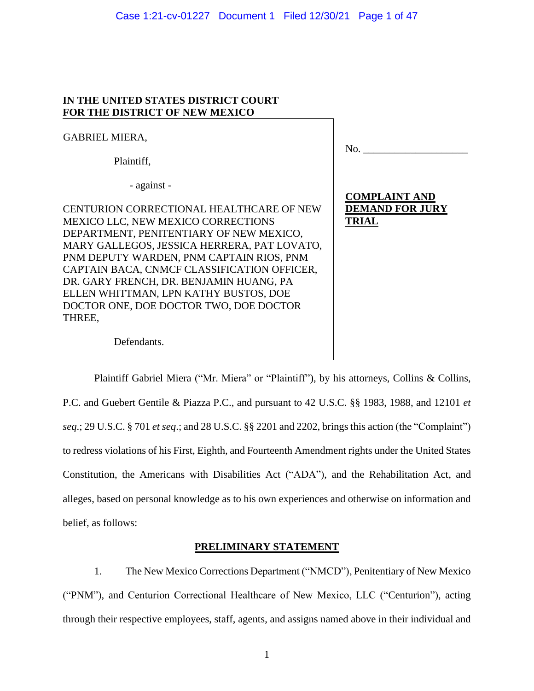#### Case 1:21-cv-01227 Document 1 Filed 12/30/21 Page 1 of 47

### **IN THE UNITED STATES DISTRICT COURT FOR THE DISTRICT OF NEW MEXICO**

GABRIEL MIERA,

Plaintiff,

- against -

CENTURION CORRECTIONAL HEALTHCARE OF NEW MEXICO LLC, NEW MEXICO CORRECTIONS DEPARTMENT, PENITENTIARY OF NEW MEXICO, MARY GALLEGOS, JESSICA HERRERA, PAT LOVATO, PNM DEPUTY WARDEN, PNM CAPTAIN RIOS, PNM CAPTAIN BACA, CNMCF CLASSIFICATION OFFICER, DR. GARY FRENCH, DR. BENJAMIN HUANG, PA ELLEN WHITTMAN, LPN KATHY BUSTOS, DOE DOCTOR ONE, DOE DOCTOR TWO, DOE DOCTOR THREE,

 $\rm No.$   $\_$ 

# **COMPLAINT AND DEMAND FOR JURY TRIAL**

Defendants.

Plaintiff Gabriel Miera ("Mr. Miera" or "Plaintiff"), by his attorneys, Collins & Collins, P.C. and Guebert Gentile & Piazza P.C., and pursuant to 42 U.S.C. §§ 1983, 1988, and 12101 *et seq*.; 29 U.S.C. § 701 *et seq*.; and 28 U.S.C. §§ 2201 and 2202, brings this action (the "Complaint") to redress violations of his First, Eighth, and Fourteenth Amendment rights under the United States Constitution, the Americans with Disabilities Act ("ADA"), and the Rehabilitation Act, and alleges, based on personal knowledge as to his own experiences and otherwise on information and belief, as follows:

# **PRELIMINARY STATEMENT**

1. The New Mexico Corrections Department ("NMCD"), Penitentiary of New Mexico ("PNM"), and Centurion Correctional Healthcare of New Mexico, LLC ("Centurion"), acting through their respective employees, staff, agents, and assigns named above in their individual and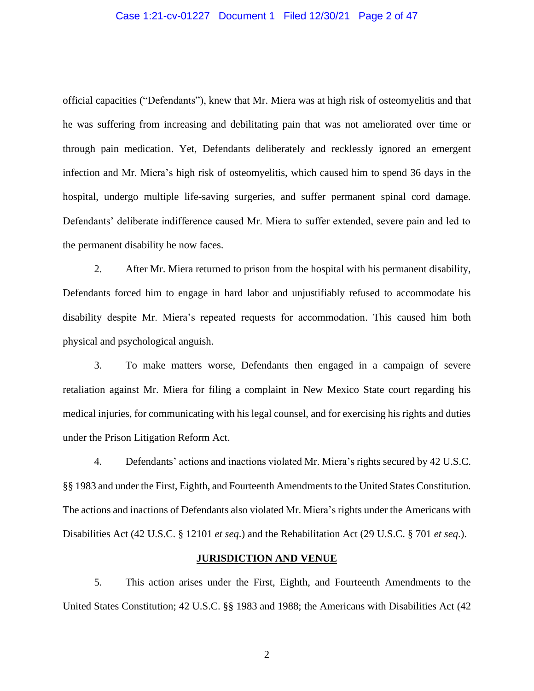#### Case 1:21-cv-01227 Document 1 Filed 12/30/21 Page 2 of 47

official capacities ("Defendants"), knew that Mr. Miera was at high risk of osteomyelitis and that he was suffering from increasing and debilitating pain that was not ameliorated over time or through pain medication. Yet, Defendants deliberately and recklessly ignored an emergent infection and Mr. Miera's high risk of osteomyelitis, which caused him to spend 36 days in the hospital, undergo multiple life-saving surgeries, and suffer permanent spinal cord damage. Defendants' deliberate indifference caused Mr. Miera to suffer extended, severe pain and led to the permanent disability he now faces.

2. After Mr. Miera returned to prison from the hospital with his permanent disability, Defendants forced him to engage in hard labor and unjustifiably refused to accommodate his disability despite Mr. Miera's repeated requests for accommodation. This caused him both physical and psychological anguish.

3. To make matters worse, Defendants then engaged in a campaign of severe retaliation against Mr. Miera for filing a complaint in New Mexico State court regarding his medical injuries, for communicating with his legal counsel, and for exercising his rights and duties under the Prison Litigation Reform Act.

4. Defendants' actions and inactions violated Mr. Miera's rights secured by 42 U.S.C. §§ 1983 and under the First, Eighth, and Fourteenth Amendments to the United States Constitution. The actions and inactions of Defendants also violated Mr. Miera's rights under the Americans with Disabilities Act (42 U.S.C. § 12101 *et seq*.) and the Rehabilitation Act (29 U.S.C. § 701 *et seq*.).

#### **JURISDICTION AND VENUE**

5. This action arises under the First, Eighth, and Fourteenth Amendments to the United States Constitution; 42 U.S.C. §§ 1983 and 1988; the Americans with Disabilities Act (42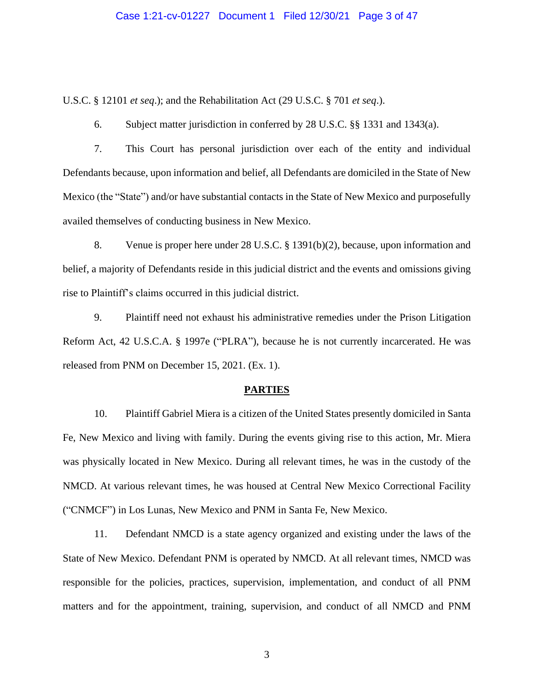#### Case 1:21-cv-01227 Document 1 Filed 12/30/21 Page 3 of 47

U.S.C. § 12101 *et seq*.); and the Rehabilitation Act (29 U.S.C. § 701 *et seq*.).

6. Subject matter jurisdiction in conferred by 28 U.S.C. §§ 1331 and 1343(a).

7. This Court has personal jurisdiction over each of the entity and individual Defendants because, upon information and belief, all Defendants are domiciled in the State of New Mexico (the "State") and/or have substantial contacts in the State of New Mexico and purposefully availed themselves of conducting business in New Mexico.

8. Venue is proper here under 28 U.S.C. § 1391(b)(2), because, upon information and belief, a majority of Defendants reside in this judicial district and the events and omissions giving rise to Plaintiff's claims occurred in this judicial district.

9. Plaintiff need not exhaust his administrative remedies under the Prison Litigation Reform Act, 42 U.S.C.A. § 1997e ("PLRA"), because he is not currently incarcerated. He was released from PNM on December 15, 2021. (Ex. 1).

#### **PARTIES**

10. Plaintiff Gabriel Miera is a citizen of the United States presently domiciled in Santa Fe, New Mexico and living with family. During the events giving rise to this action, Mr. Miera was physically located in New Mexico. During all relevant times, he was in the custody of the NMCD. At various relevant times, he was housed at Central New Mexico Correctional Facility ("CNMCF") in Los Lunas, New Mexico and PNM in Santa Fe, New Mexico.

11. Defendant NMCD is a state agency organized and existing under the laws of the State of New Mexico. Defendant PNM is operated by NMCD. At all relevant times, NMCD was responsible for the policies, practices, supervision, implementation, and conduct of all PNM matters and for the appointment, training, supervision, and conduct of all NMCD and PNM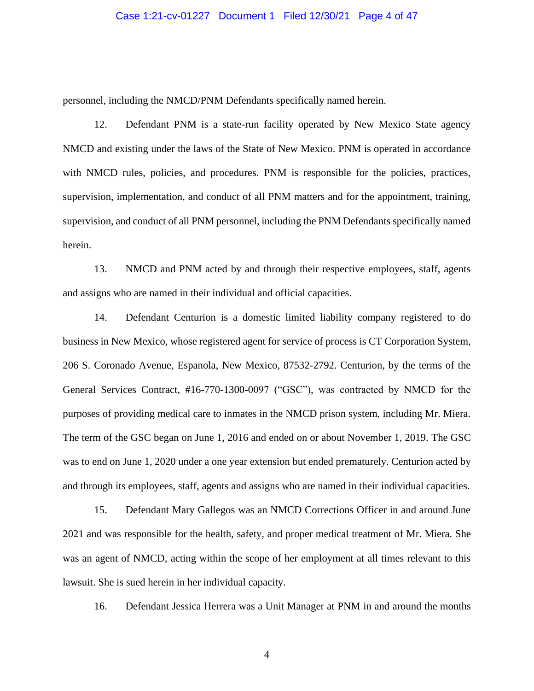#### Case 1:21-cv-01227 Document 1 Filed 12/30/21 Page 4 of 47

personnel, including the NMCD/PNM Defendants specifically named herein.

12. Defendant PNM is a state-run facility operated by New Mexico State agency NMCD and existing under the laws of the State of New Mexico. PNM is operated in accordance with NMCD rules, policies, and procedures. PNM is responsible for the policies, practices, supervision, implementation, and conduct of all PNM matters and for the appointment, training, supervision, and conduct of all PNM personnel, including the PNM Defendants specifically named herein.

13. NMCD and PNM acted by and through their respective employees, staff, agents and assigns who are named in their individual and official capacities.

14. Defendant Centurion is a domestic limited liability company registered to do business in New Mexico, whose registered agent for service of process is CT Corporation System, 206 S. Coronado Avenue, Espanola, New Mexico, 87532-2792. Centurion, by the terms of the General Services Contract, #16-770-1300-0097 ("GSC"), was contracted by NMCD for the purposes of providing medical care to inmates in the NMCD prison system, including Mr. Miera. The term of the GSC began on June 1, 2016 and ended on or about November 1, 2019. The GSC was to end on June 1, 2020 under a one year extension but ended prematurely. Centurion acted by and through its employees, staff, agents and assigns who are named in their individual capacities.

15. Defendant Mary Gallegos was an NMCD Corrections Officer in and around June 2021 and was responsible for the health, safety, and proper medical treatment of Mr. Miera. She was an agent of NMCD, acting within the scope of her employment at all times relevant to this lawsuit. She is sued herein in her individual capacity.

16. Defendant Jessica Herrera was a Unit Manager at PNM in and around the months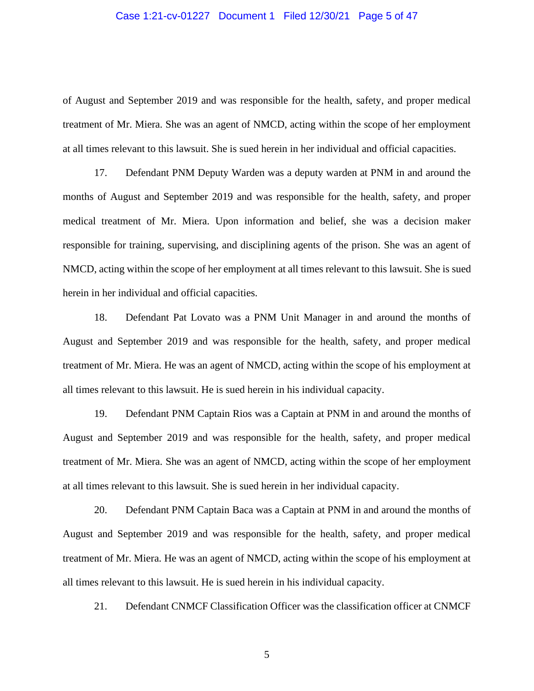#### Case 1:21-cv-01227 Document 1 Filed 12/30/21 Page 5 of 47

of August and September 2019 and was responsible for the health, safety, and proper medical treatment of Mr. Miera. She was an agent of NMCD, acting within the scope of her employment at all times relevant to this lawsuit. She is sued herein in her individual and official capacities.

17. Defendant PNM Deputy Warden was a deputy warden at PNM in and around the months of August and September 2019 and was responsible for the health, safety, and proper medical treatment of Mr. Miera. Upon information and belief, she was a decision maker responsible for training, supervising, and disciplining agents of the prison. She was an agent of NMCD, acting within the scope of her employment at all times relevant to this lawsuit. She is sued herein in her individual and official capacities.

18. Defendant Pat Lovato was a PNM Unit Manager in and around the months of August and September 2019 and was responsible for the health, safety, and proper medical treatment of Mr. Miera. He was an agent of NMCD, acting within the scope of his employment at all times relevant to this lawsuit. He is sued herein in his individual capacity.

19. Defendant PNM Captain Rios was a Captain at PNM in and around the months of August and September 2019 and was responsible for the health, safety, and proper medical treatment of Mr. Miera. She was an agent of NMCD, acting within the scope of her employment at all times relevant to this lawsuit. She is sued herein in her individual capacity.

20. Defendant PNM Captain Baca was a Captain at PNM in and around the months of August and September 2019 and was responsible for the health, safety, and proper medical treatment of Mr. Miera. He was an agent of NMCD, acting within the scope of his employment at all times relevant to this lawsuit. He is sued herein in his individual capacity.

21. Defendant CNMCF Classification Officer was the classification officer at CNMCF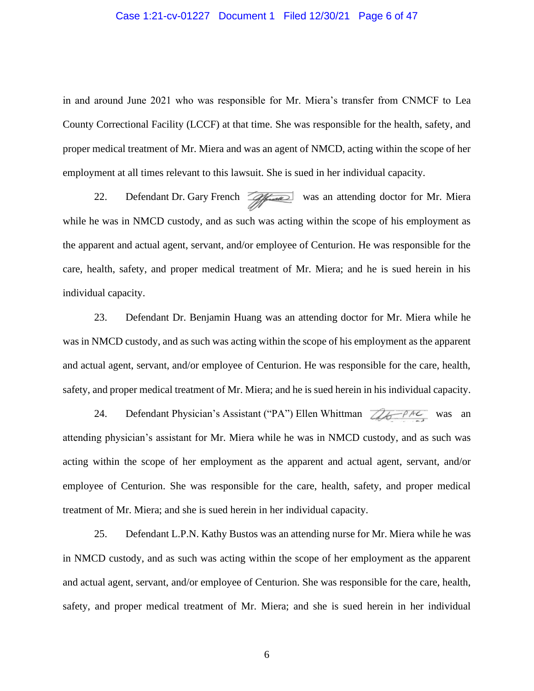#### Case 1:21-cv-01227 Document 1 Filed 12/30/21 Page 6 of 47

in and around June 2021 who was responsible for Mr. Miera's transfer from CNMCF to Lea County Correctional Facility (LCCF) at that time. She was responsible for the health, safety, and proper medical treatment of Mr. Miera and was an agent of NMCD, acting within the scope of her employment at all times relevant to this lawsuit. She is sued in her individual capacity.

22. Defendant Dr. Gary French was an attending doctor for Mr. Miera while he was in NMCD custody, and as such was acting within the scope of his employment as the apparent and actual agent, servant, and/or employee of Centurion. He was responsible for the care, health, safety, and proper medical treatment of Mr. Miera; and he is sued herein in his individual capacity.

23. Defendant Dr. Benjamin Huang was an attending doctor for Mr. Miera while he was in NMCD custody, and as such was acting within the scope of his employment as the apparent and actual agent, servant, and/or employee of Centurion. He was responsible for the care, health, safety, and proper medical treatment of Mr. Miera; and he is sued herein in his individual capacity.

24. Defendant Physician's Assistant ("PA") Ellen Whittman  $\mathbb{Z}_6$   $\rightarrow$   $\mathbb{Z}_7$  was an attending physician's assistant for Mr. Miera while he was in NMCD custody, and as such was acting within the scope of her employment as the apparent and actual agent, servant, and/or employee of Centurion. She was responsible for the care, health, safety, and proper medical treatment of Mr. Miera; and she is sued herein in her individual capacity.

25. Defendant L.P.N. Kathy Bustos was an attending nurse for Mr. Miera while he was in NMCD custody, and as such was acting within the scope of her employment as the apparent and actual agent, servant, and/or employee of Centurion. She was responsible for the care, health, safety, and proper medical treatment of Mr. Miera; and she is sued herein in her individual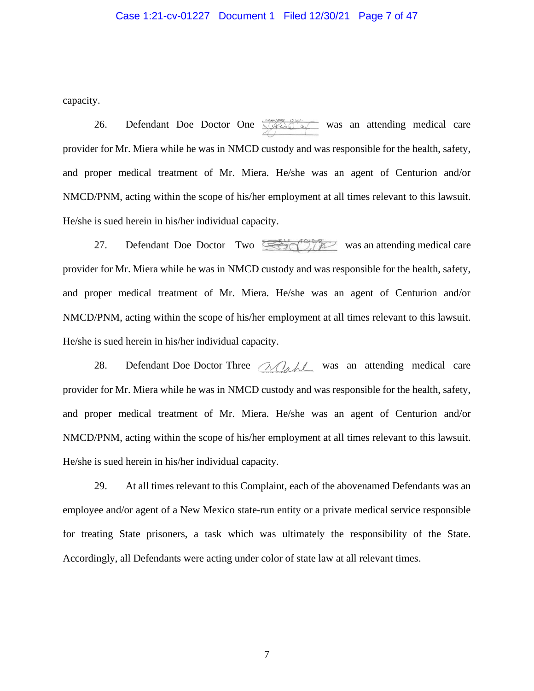#### Case 1:21-cv-01227 Document 1 Filed 12/30/21 Page 7 of 47

capacity.

26. Defendant Doe Doctor One  $\frac{1}{2}$  was an attending medical care provider for Mr. Miera while he was in NMCD custody and was responsible for the health, safety, and proper medical treatment of Mr. Miera. He/she was an agent of Centurion and/or NMCD/PNM, acting within the scope of his/her employment at all times relevant to this lawsuit. He/she is sued herein in his/her individual capacity.

27. Defendant Doe Doctor Two  $\mathbb{R}$  was an attending medical care provider for Mr. Miera while he was in NMCD custody and was responsible for the health, safety, and proper medical treatment of Mr. Miera. He/she was an agent of Centurion and/or NMCD/PNM, acting within the scope of his/her employment at all times relevant to this lawsuit. He/she is sued herein in his/her individual capacity.

28. Defendant Doe Doctor Three  $\triangle Q_{\alpha}$  was an attending medical care provider for Mr. Miera while he was in NMCD custody and was responsible for the health, safety, and proper medical treatment of Mr. Miera. He/she was an agent of Centurion and/or NMCD/PNM, acting within the scope of his/her employment at all times relevant to this lawsuit. He/she is sued herein in his/her individual capacity.

29. At all times relevant to this Complaint, each of the abovenamed Defendants was an employee and/or agent of a New Mexico state-run entity or a private medical service responsible for treating State prisoners, a task which was ultimately the responsibility of the State. Accordingly, all Defendants were acting under color of state law at all relevant times.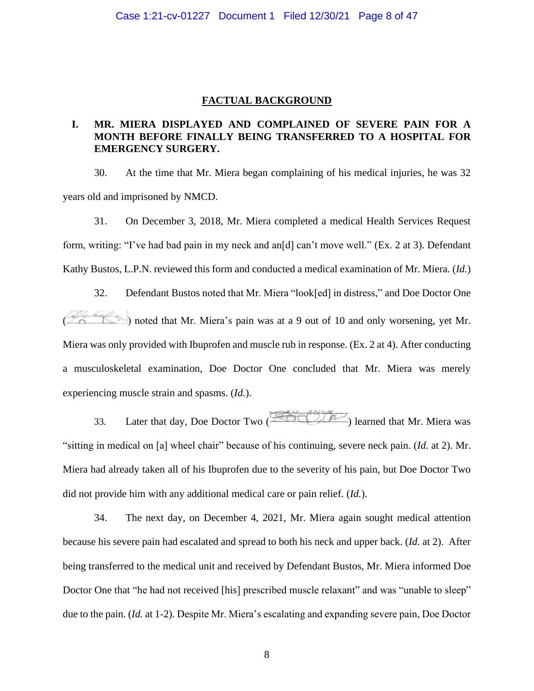#### **FACTUAL BACKGROUND**

# **I. MR. MIERA DISPLAYED AND COMPLAINED OF SEVERE PAIN FOR A MONTH BEFORE FINALLY BEING TRANSFERRED TO A HOSPITAL FOR EMERGENCY SURGERY.**

30. At the time that Mr. Miera began complaining of his medical injuries, he was 32 years old and imprisoned by NMCD.

31. On December 3, 2018, Mr. Miera completed a medical Health Services Request form, writing: "I've had bad pain in my neck and an[d] can't move well." (Ex. 2 at 3). Defendant Kathy Bustos, L.P.N. reviewed this form and conducted a medical examination of Mr. Miera. (*Id.*)

32. Defendant Bustos noted that Mr. Miera "look[ed] in distress," and Doe Doctor One ( ) noted that Mr. Miera's pain was at a 9 out of 10 and only worsening, yet Mr. Miera was only provided with Ibuprofen and muscle rub in response. (Ex. 2 at 4). After conducting a musculoskeletal examination, Doe Doctor One concluded that Mr. Miera was merely experiencing muscle strain and spasms. (*Id.*).

33. Later that day, Doe Doctor Two  $\overline{\text{GCD}}$  learned that Mr. Miera was "sitting in medical on [a] wheel chair" because of his continuing, severe neck pain. (*Id.* at 2). Mr. Miera had already taken all of his Ibuprofen due to the severity of his pain, but Doe Doctor Two did not provide him with any additional medical care or pain relief. (*Id.*).

34. The next day, on December 4, 2021, Mr. Miera again sought medical attention because his severe pain had escalated and spread to both his neck and upper back. (*Id.* at 2). After being transferred to the medical unit and received by Defendant Bustos, Mr. Miera informed Doe Doctor One that "he had not received [his] prescribed muscle relaxant" and was "unable to sleep" due to the pain. (*Id.* at 1-2). Despite Mr. Miera's escalating and expanding severe pain, Doe Doctor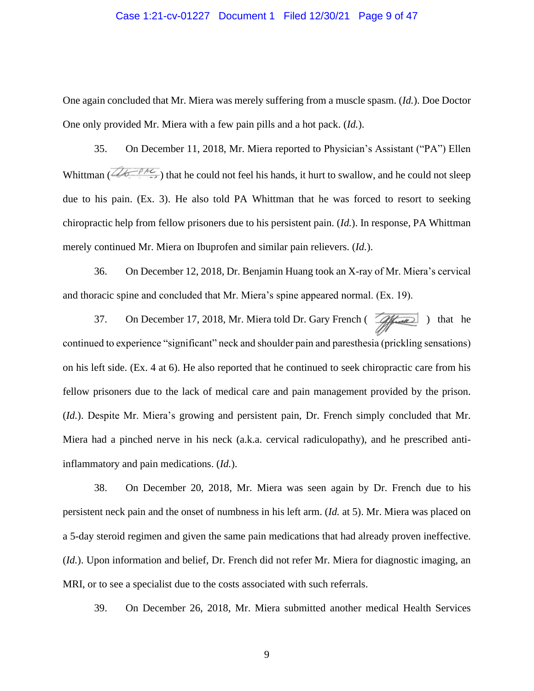#### Case 1:21-cv-01227 Document 1 Filed 12/30/21 Page 9 of 47

One again concluded that Mr. Miera was merely suffering from a muscle spasm. (*Id.*). Doe Doctor One only provided Mr. Miera with a few pain pills and a hot pack. (*Id.*).

35. On December 11, 2018, Mr. Miera reported to Physician's Assistant ("PA") Ellen Whittman ( $\widehat{\mathcal{A}_{\mathcal{B}}$ ) that he could not feel his hands, it hurt to swallow, and he could not sleep due to his pain. (Ex. 3). He also told PA Whittman that he was forced to resort to seeking chiropractic help from fellow prisoners due to his persistent pain. (*Id.*). In response, PA Whittman merely continued Mr. Miera on Ibuprofen and similar pain relievers. (*Id.*).

36. On December 12, 2018, Dr. Benjamin Huang took an X-ray of Mr. Miera's cervical and thoracic spine and concluded that Mr. Miera's spine appeared normal. (Ex. 19).

37. On December 17, 2018, Mr. Miera told Dr. Gary French ( $\sqrt{\frac{f}{f} \sqrt{f}}$ ) that he continued to experience "significant" neck and shoulder pain and paresthesia (prickling sensations) on his left side. (Ex. 4 at 6). He also reported that he continued to seek chiropractic care from his fellow prisoners due to the lack of medical care and pain management provided by the prison. (*Id.*). Despite Mr. Miera's growing and persistent pain, Dr. French simply concluded that Mr. Miera had a pinched nerve in his neck (a.k.a. cervical radiculopathy), and he prescribed antiinflammatory and pain medications. (*Id.*).

38. On December 20, 2018, Mr. Miera was seen again by Dr. French due to his persistent neck pain and the onset of numbness in his left arm. (*Id.* at 5). Mr. Miera was placed on a 5-day steroid regimen and given the same pain medications that had already proven ineffective. (*Id.*). Upon information and belief, Dr. French did not refer Mr. Miera for diagnostic imaging, an MRI, or to see a specialist due to the costs associated with such referrals.

39. On December 26, 2018, Mr. Miera submitted another medical Health Services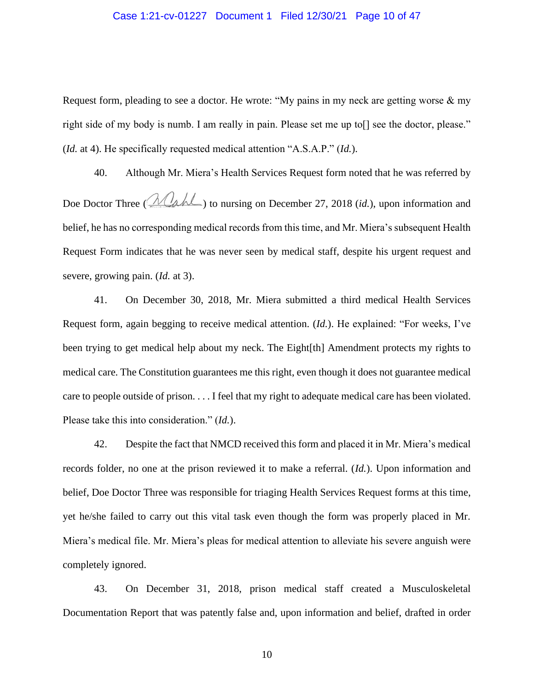#### Case 1:21-cv-01227 Document 1 Filed 12/30/21 Page 10 of 47

Request form, pleading to see a doctor. He wrote: "My pains in my neck are getting worse & my right side of my body is numb. I am really in pain. Please set me up to [] see the doctor, please." (*Id.* at 4). He specifically requested medical attention "A.S.A.P." (*Id.*).

40. Although Mr. Miera's Health Services Request form noted that he was referred by Doe Doctor Three ( $\mathcal{M}_{\mathcal{A}}$   $\mathcal{M}_{\mathcal{A}}$ ) to nursing on December 27, 2018 (*id.*), upon information and belief, he has no corresponding medical records from this time, and Mr. Miera's subsequent Health Request Form indicates that he was never seen by medical staff, despite his urgent request and severe, growing pain. (*Id.* at 3).

41. On December 30, 2018, Mr. Miera submitted a third medical Health Services Request form, again begging to receive medical attention. (*Id.*). He explained: "For weeks, I've been trying to get medical help about my neck. The Eight[th] Amendment protects my rights to medical care. The Constitution guarantees me this right, even though it does not guarantee medical care to people outside of prison. . . . I feel that my right to adequate medical care has been violated. Please take this into consideration." (*Id.*).

42. Despite the fact that NMCD received this form and placed it in Mr. Miera's medical records folder, no one at the prison reviewed it to make a referral. (*Id.*). Upon information and belief, Doe Doctor Three was responsible for triaging Health Services Request forms at this time, yet he/she failed to carry out this vital task even though the form was properly placed in Mr. Miera's medical file. Mr. Miera's pleas for medical attention to alleviate his severe anguish were completely ignored.

43. On December 31, 2018, prison medical staff created a Musculoskeletal Documentation Report that was patently false and, upon information and belief, drafted in order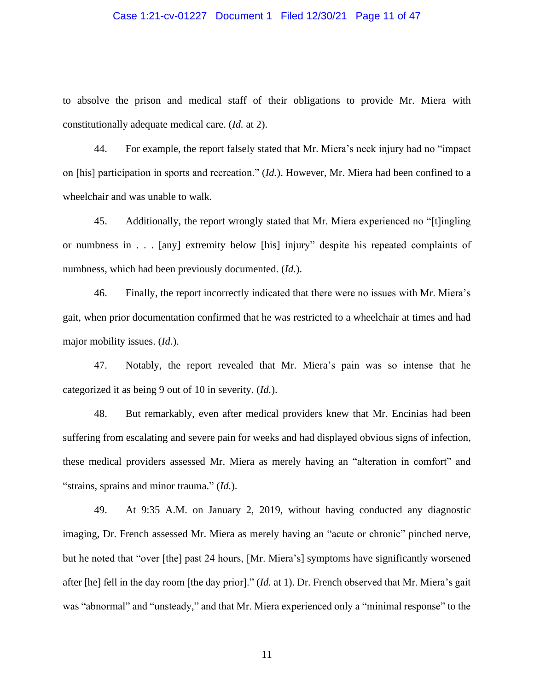#### Case 1:21-cv-01227 Document 1 Filed 12/30/21 Page 11 of 47

to absolve the prison and medical staff of their obligations to provide Mr. Miera with constitutionally adequate medical care. (*Id.* at 2).

44. For example, the report falsely stated that Mr. Miera's neck injury had no "impact on [his] participation in sports and recreation." (*Id.*). However, Mr. Miera had been confined to a wheelchair and was unable to walk.

45. Additionally, the report wrongly stated that Mr. Miera experienced no "[t]ingling or numbness in . . . [any] extremity below [his] injury" despite his repeated complaints of numbness, which had been previously documented. (*Id.*).

46. Finally, the report incorrectly indicated that there were no issues with Mr. Miera's gait, when prior documentation confirmed that he was restricted to a wheelchair at times and had major mobility issues. (*Id.*).

47. Notably, the report revealed that Mr. Miera's pain was so intense that he categorized it as being 9 out of 10 in severity. (*Id.*).

48. But remarkably, even after medical providers knew that Mr. Encinias had been suffering from escalating and severe pain for weeks and had displayed obvious signs of infection, these medical providers assessed Mr. Miera as merely having an "alteration in comfort" and "strains, sprains and minor trauma." (*Id.*).

49. At 9:35 A.M. on January 2, 2019, without having conducted any diagnostic imaging, Dr. French assessed Mr. Miera as merely having an "acute or chronic" pinched nerve, but he noted that "over [the] past 24 hours, [Mr. Miera's] symptoms have significantly worsened after [he] fell in the day room [the day prior]." (*Id.* at 1). Dr. French observed that Mr. Miera's gait was "abnormal" and "unsteady," and that Mr. Miera experienced only a "minimal response" to the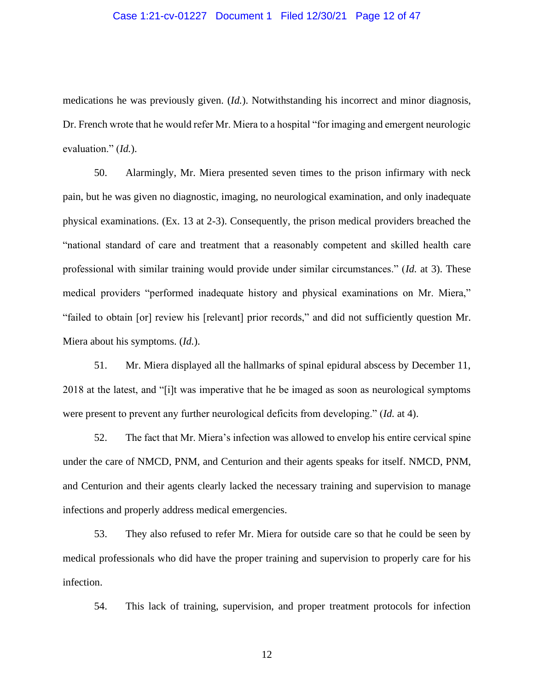#### Case 1:21-cv-01227 Document 1 Filed 12/30/21 Page 12 of 47

medications he was previously given. (*Id.*). Notwithstanding his incorrect and minor diagnosis, Dr. French wrote that he would refer Mr. Miera to a hospital "for imaging and emergent neurologic evaluation." (*Id.*).

50. Alarmingly, Mr. Miera presented seven times to the prison infirmary with neck pain, but he was given no diagnostic, imaging, no neurological examination, and only inadequate physical examinations. (Ex. 13 at 2-3). Consequently, the prison medical providers breached the "national standard of care and treatment that a reasonably competent and skilled health care professional with similar training would provide under similar circumstances." (*Id.* at 3). These medical providers "performed inadequate history and physical examinations on Mr. Miera," "failed to obtain [or] review his [relevant] prior records," and did not sufficiently question Mr. Miera about his symptoms. (*Id.*).

51. Mr. Miera displayed all the hallmarks of spinal epidural abscess by December 11, 2018 at the latest, and "[i]t was imperative that he be imaged as soon as neurological symptoms were present to prevent any further neurological deficits from developing." (*Id.* at 4).

52. The fact that Mr. Miera's infection was allowed to envelop his entire cervical spine under the care of NMCD, PNM, and Centurion and their agents speaks for itself. NMCD, PNM, and Centurion and their agents clearly lacked the necessary training and supervision to manage infections and properly address medical emergencies.

53. They also refused to refer Mr. Miera for outside care so that he could be seen by medical professionals who did have the proper training and supervision to properly care for his infection.

54. This lack of training, supervision, and proper treatment protocols for infection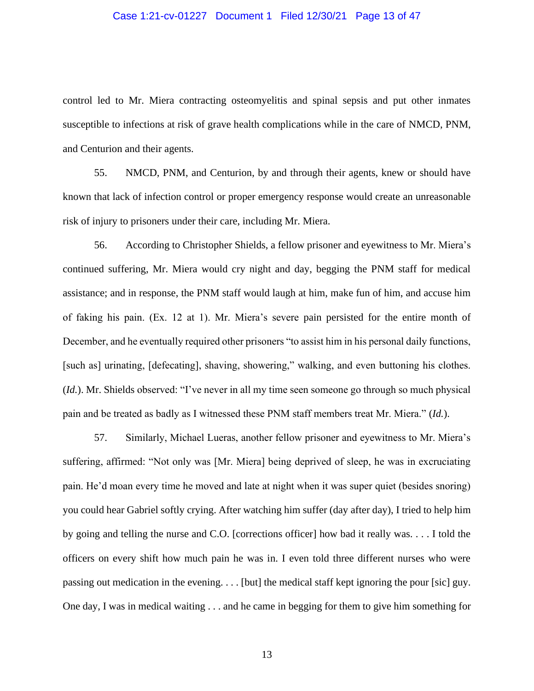#### Case 1:21-cv-01227 Document 1 Filed 12/30/21 Page 13 of 47

control led to Mr. Miera contracting osteomyelitis and spinal sepsis and put other inmates susceptible to infections at risk of grave health complications while in the care of NMCD, PNM, and Centurion and their agents.

55. NMCD, PNM, and Centurion, by and through their agents, knew or should have known that lack of infection control or proper emergency response would create an unreasonable risk of injury to prisoners under their care, including Mr. Miera.

56. According to Christopher Shields, a fellow prisoner and eyewitness to Mr. Miera's continued suffering, Mr. Miera would cry night and day, begging the PNM staff for medical assistance; and in response, the PNM staff would laugh at him, make fun of him, and accuse him of faking his pain. (Ex. 12 at 1). Mr. Miera's severe pain persisted for the entire month of December, and he eventually required other prisoners "to assist him in his personal daily functions, [such as] urinating, [defecating], shaving, showering," walking, and even buttoning his clothes. (*Id.*). Mr. Shields observed: "I've never in all my time seen someone go through so much physical pain and be treated as badly as I witnessed these PNM staff members treat Mr. Miera." (*Id.*).

57. Similarly, Michael Lueras, another fellow prisoner and eyewitness to Mr. Miera's suffering, affirmed: "Not only was [Mr. Miera] being deprived of sleep, he was in excruciating pain. He'd moan every time he moved and late at night when it was super quiet (besides snoring) you could hear Gabriel softly crying. After watching him suffer (day after day), I tried to help him by going and telling the nurse and C.O. [corrections officer] how bad it really was. . . . I told the officers on every shift how much pain he was in. I even told three different nurses who were passing out medication in the evening. . . . [but] the medical staff kept ignoring the pour [sic] guy. One day, I was in medical waiting . . . and he came in begging for them to give him something for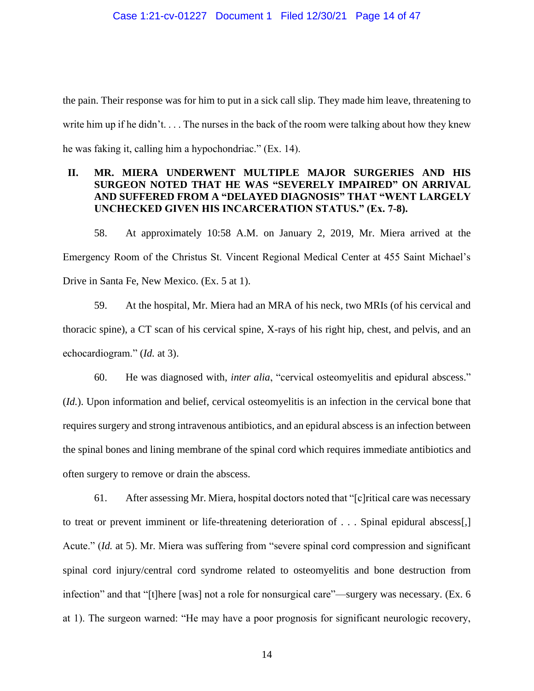the pain. Their response was for him to put in a sick call slip. They made him leave, threatening to write him up if he didn't. . . . The nurses in the back of the room were talking about how they knew he was faking it, calling him a hypochondriac." (Ex. 14).

# **II. MR. MIERA UNDERWENT MULTIPLE MAJOR SURGERIES AND HIS SURGEON NOTED THAT HE WAS "SEVERELY IMPAIRED" ON ARRIVAL AND SUFFERED FROM A "DELAYED DIAGNOSIS" THAT "WENT LARGELY UNCHECKED GIVEN HIS INCARCERATION STATUS." (Ex. 7-8).**

58. At approximately 10:58 A.M. on January 2, 2019, Mr. Miera arrived at the Emergency Room of the Christus St. Vincent Regional Medical Center at 455 Saint Michael's Drive in Santa Fe, New Mexico. (Ex. 5 at 1).

59. At the hospital, Mr. Miera had an MRA of his neck, two MRIs (of his cervical and thoracic spine), a CT scan of his cervical spine, X-rays of his right hip, chest, and pelvis, and an echocardiogram." (*Id.* at 3).

60. He was diagnosed with, *inter alia*, "cervical osteomyelitis and epidural abscess." (*Id.*). Upon information and belief, cervical osteomyelitis is an infection in the cervical bone that requires surgery and strong intravenous antibiotics, and an epidural abscess is an infection between the spinal bones and lining membrane of the spinal cord which requires immediate antibiotics and often surgery to remove or drain the abscess.

61. After assessing Mr. Miera, hospital doctors noted that "[c]ritical care was necessary to treat or prevent imminent or life-threatening deterioration of . . . Spinal epidural abscess[,] Acute." (*Id.* at 5). Mr. Miera was suffering from "severe spinal cord compression and significant spinal cord injury/central cord syndrome related to osteomyelitis and bone destruction from infection" and that "[t]here [was] not a role for nonsurgical care"—surgery was necessary. (Ex. 6 at 1). The surgeon warned: "He may have a poor prognosis for significant neurologic recovery,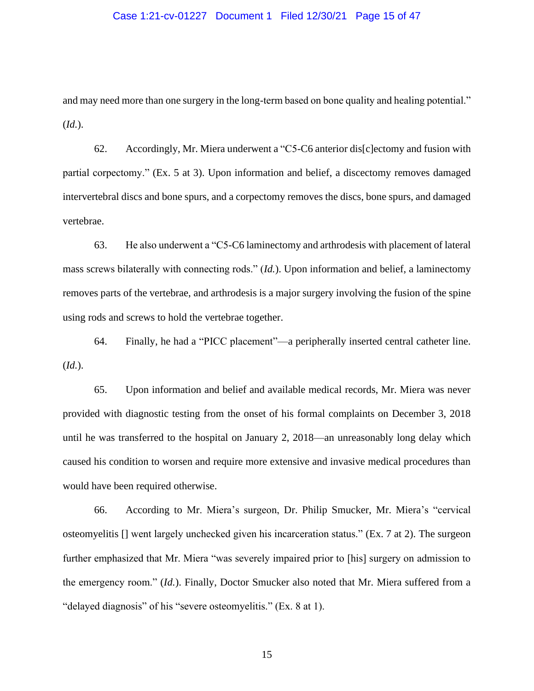#### Case 1:21-cv-01227 Document 1 Filed 12/30/21 Page 15 of 47

and may need more than one surgery in the long-term based on bone quality and healing potential." (*Id.*).

62. Accordingly, Mr. Miera underwent a "C5-C6 anterior dis[c]ectomy and fusion with partial corpectomy." (Ex. 5 at 3). Upon information and belief, a discectomy removes damaged intervertebral discs and bone spurs, and a corpectomy removes the discs, bone spurs, and damaged vertebrae.

63. He also underwent a "C5-C6 laminectomy and arthrodesis with placement of lateral mass screws bilaterally with connecting rods." (*Id.*). Upon information and belief, a laminectomy removes parts of the vertebrae, and arthrodesis is a major surgery involving the fusion of the spine using rods and screws to hold the vertebrae together.

64. Finally, he had a "PICC placement"—a peripherally inserted central catheter line. (*Id.*).

65. Upon information and belief and available medical records, Mr. Miera was never provided with diagnostic testing from the onset of his formal complaints on December 3, 2018 until he was transferred to the hospital on January 2, 2018—an unreasonably long delay which caused his condition to worsen and require more extensive and invasive medical procedures than would have been required otherwise.

66. According to Mr. Miera's surgeon, Dr. Philip Smucker, Mr. Miera's "cervical osteomyelitis [] went largely unchecked given his incarceration status." (Ex. 7 at 2). The surgeon further emphasized that Mr. Miera "was severely impaired prior to [his] surgery on admission to the emergency room." (*Id.*). Finally, Doctor Smucker also noted that Mr. Miera suffered from a "delayed diagnosis" of his "severe osteomyelitis." (Ex. 8 at 1).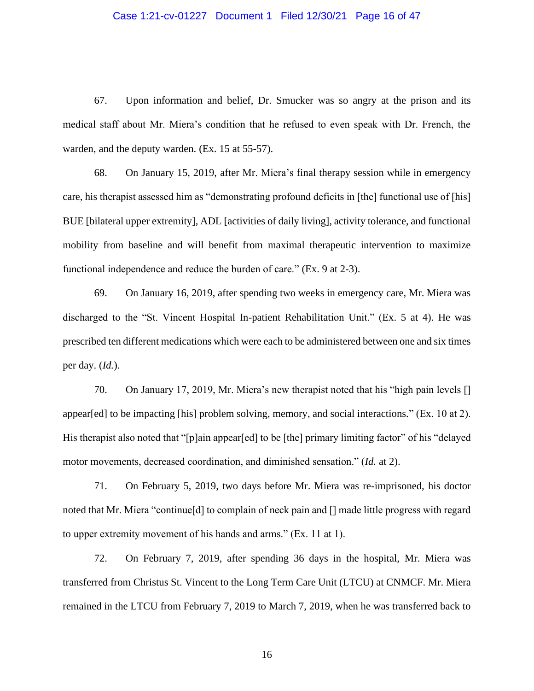#### Case 1:21-cv-01227 Document 1 Filed 12/30/21 Page 16 of 47

67. Upon information and belief, Dr. Smucker was so angry at the prison and its medical staff about Mr. Miera's condition that he refused to even speak with Dr. French, the warden, and the deputy warden. (Ex. 15 at 55-57).

68. On January 15, 2019, after Mr. Miera's final therapy session while in emergency care, his therapist assessed him as "demonstrating profound deficits in [the] functional use of [his] BUE [bilateral upper extremity], ADL [activities of daily living], activity tolerance, and functional mobility from baseline and will benefit from maximal therapeutic intervention to maximize functional independence and reduce the burden of care." (Ex. 9 at 2-3).

69. On January 16, 2019, after spending two weeks in emergency care, Mr. Miera was discharged to the "St. Vincent Hospital In-patient Rehabilitation Unit." (Ex. 5 at 4). He was prescribed ten different medications which were each to be administered between one and six times per day. (*Id.*).

70. On January 17, 2019, Mr. Miera's new therapist noted that his "high pain levels [] appear[ed] to be impacting [his] problem solving, memory, and social interactions." (Ex. 10 at 2). His therapist also noted that "[p]ain appear[ed] to be [the] primary limiting factor" of his "delayed motor movements, decreased coordination, and diminished sensation." (*Id.* at 2).

71. On February 5, 2019, two days before Mr. Miera was re-imprisoned, his doctor noted that Mr. Miera "continue[d] to complain of neck pain and [] made little progress with regard to upper extremity movement of his hands and arms." (Ex. 11 at 1).

72. On February 7, 2019, after spending 36 days in the hospital, Mr. Miera was transferred from Christus St. Vincent to the Long Term Care Unit (LTCU) at CNMCF. Mr. Miera remained in the LTCU from February 7, 2019 to March 7, 2019, when he was transferred back to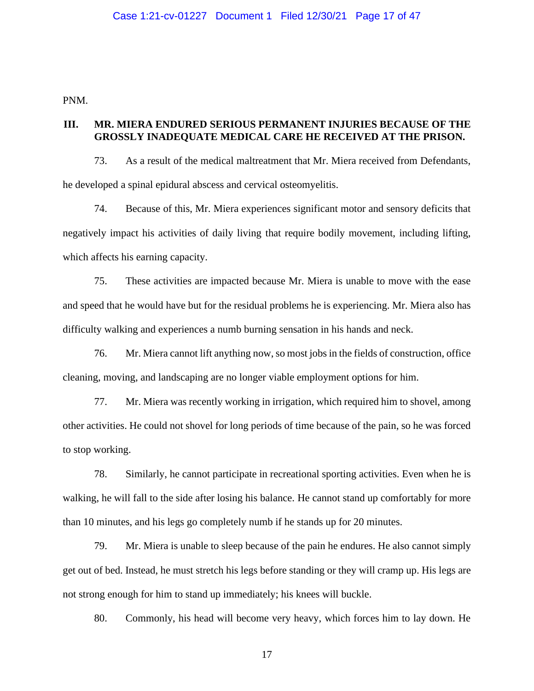PNM.

## **III. MR. MIERA ENDURED SERIOUS PERMANENT INJURIES BECAUSE OF THE GROSSLY INADEQUATE MEDICAL CARE HE RECEIVED AT THE PRISON.**

73. As a result of the medical maltreatment that Mr. Miera received from Defendants, he developed a spinal epidural abscess and cervical osteomyelitis.

74. Because of this, Mr. Miera experiences significant motor and sensory deficits that negatively impact his activities of daily living that require bodily movement, including lifting, which affects his earning capacity.

75. These activities are impacted because Mr. Miera is unable to move with the ease and speed that he would have but for the residual problems he is experiencing. Mr. Miera also has difficulty walking and experiences a numb burning sensation in his hands and neck.

76. Mr. Miera cannot lift anything now, so most jobs in the fields of construction, office cleaning, moving, and landscaping are no longer viable employment options for him.

77. Mr. Miera was recently working in irrigation, which required him to shovel, among other activities. He could not shovel for long periods of time because of the pain, so he was forced to stop working.

78. Similarly, he cannot participate in recreational sporting activities. Even when he is walking, he will fall to the side after losing his balance. He cannot stand up comfortably for more than 10 minutes, and his legs go completely numb if he stands up for 20 minutes.

79. Mr. Miera is unable to sleep because of the pain he endures. He also cannot simply get out of bed. Instead, he must stretch his legs before standing or they will cramp up. His legs are not strong enough for him to stand up immediately; his knees will buckle.

80. Commonly, his head will become very heavy, which forces him to lay down. He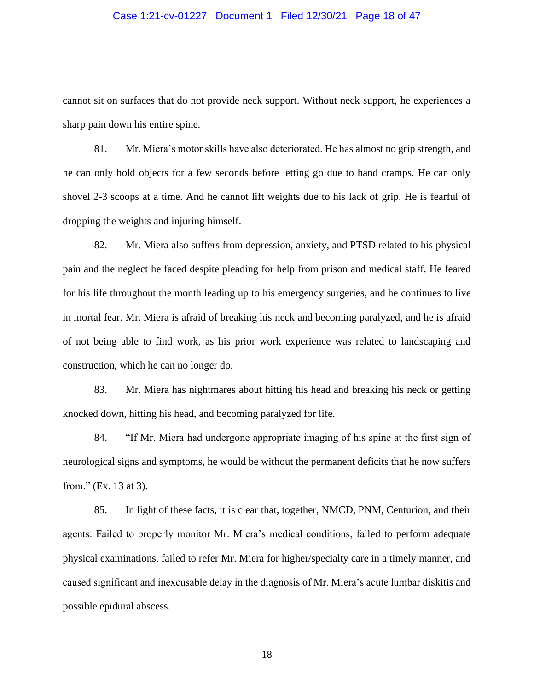#### Case 1:21-cv-01227 Document 1 Filed 12/30/21 Page 18 of 47

cannot sit on surfaces that do not provide neck support. Without neck support, he experiences a sharp pain down his entire spine.

81. Mr. Miera's motor skills have also deteriorated. He has almost no grip strength, and he can only hold objects for a few seconds before letting go due to hand cramps. He can only shovel 2-3 scoops at a time. And he cannot lift weights due to his lack of grip. He is fearful of dropping the weights and injuring himself.

82. Mr. Miera also suffers from depression, anxiety, and PTSD related to his physical pain and the neglect he faced despite pleading for help from prison and medical staff. He feared for his life throughout the month leading up to his emergency surgeries, and he continues to live in mortal fear. Mr. Miera is afraid of breaking his neck and becoming paralyzed, and he is afraid of not being able to find work, as his prior work experience was related to landscaping and construction, which he can no longer do.

83. Mr. Miera has nightmares about hitting his head and breaking his neck or getting knocked down, hitting his head, and becoming paralyzed for life.

84. "If Mr. Miera had undergone appropriate imaging of his spine at the first sign of neurological signs and symptoms, he would be without the permanent deficits that he now suffers from." (Ex. 13 at 3).

85. In light of these facts, it is clear that, together, NMCD, PNM, Centurion, and their agents: Failed to properly monitor Mr. Miera's medical conditions, failed to perform adequate physical examinations, failed to refer Mr. Miera for higher/specialty care in a timely manner, and caused significant and inexcusable delay in the diagnosis of Mr. Miera's acute lumbar diskitis and possible epidural abscess.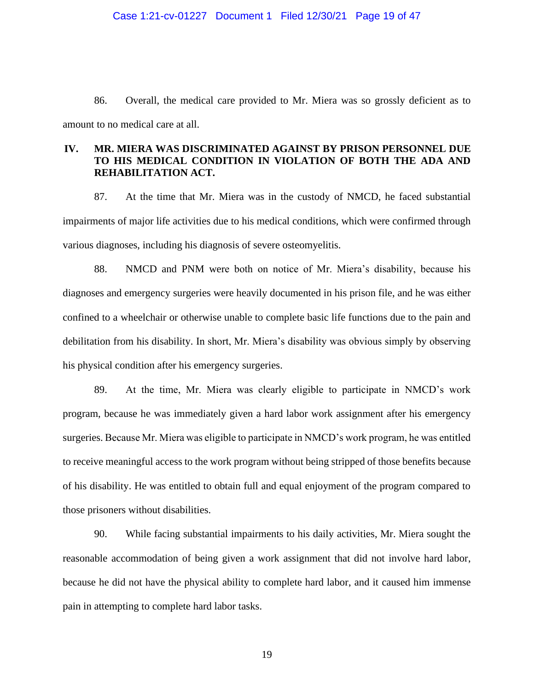86. Overall, the medical care provided to Mr. Miera was so grossly deficient as to amount to no medical care at all.

### **IV. MR. MIERA WAS DISCRIMINATED AGAINST BY PRISON PERSONNEL DUE TO HIS MEDICAL CONDITION IN VIOLATION OF BOTH THE ADA AND REHABILITATION ACT.**

87. At the time that Mr. Miera was in the custody of NMCD, he faced substantial impairments of major life activities due to his medical conditions, which were confirmed through various diagnoses, including his diagnosis of severe osteomyelitis.

88. NMCD and PNM were both on notice of Mr. Miera's disability, because his diagnoses and emergency surgeries were heavily documented in his prison file, and he was either confined to a wheelchair or otherwise unable to complete basic life functions due to the pain and debilitation from his disability. In short, Mr. Miera's disability was obvious simply by observing his physical condition after his emergency surgeries.

89. At the time, Mr. Miera was clearly eligible to participate in NMCD's work program, because he was immediately given a hard labor work assignment after his emergency surgeries. Because Mr. Miera was eligible to participate in NMCD's work program, he was entitled to receive meaningful access to the work program without being stripped of those benefits because of his disability. He was entitled to obtain full and equal enjoyment of the program compared to those prisoners without disabilities.

90. While facing substantial impairments to his daily activities, Mr. Miera sought the reasonable accommodation of being given a work assignment that did not involve hard labor, because he did not have the physical ability to complete hard labor, and it caused him immense pain in attempting to complete hard labor tasks.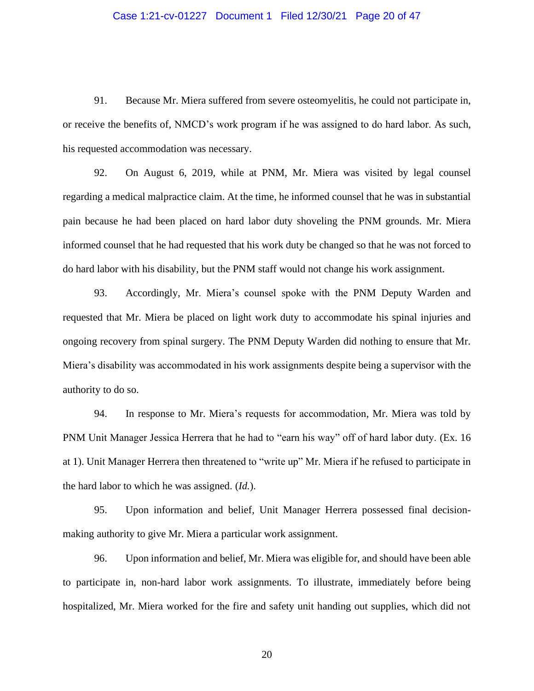#### Case 1:21-cv-01227 Document 1 Filed 12/30/21 Page 20 of 47

91. Because Mr. Miera suffered from severe osteomyelitis, he could not participate in, or receive the benefits of, NMCD's work program if he was assigned to do hard labor. As such, his requested accommodation was necessary.

92. On August 6, 2019, while at PNM, Mr. Miera was visited by legal counsel regarding a medical malpractice claim. At the time, he informed counsel that he was in substantial pain because he had been placed on hard labor duty shoveling the PNM grounds. Mr. Miera informed counsel that he had requested that his work duty be changed so that he was not forced to do hard labor with his disability, but the PNM staff would not change his work assignment.

93. Accordingly, Mr. Miera's counsel spoke with the PNM Deputy Warden and requested that Mr. Miera be placed on light work duty to accommodate his spinal injuries and ongoing recovery from spinal surgery. The PNM Deputy Warden did nothing to ensure that Mr. Miera's disability was accommodated in his work assignments despite being a supervisor with the authority to do so.

94. In response to Mr. Miera's requests for accommodation, Mr. Miera was told by PNM Unit Manager Jessica Herrera that he had to "earn his way" off of hard labor duty. (Ex. 16 at 1). Unit Manager Herrera then threatened to "write up" Mr. Miera if he refused to participate in the hard labor to which he was assigned. (*Id.*).

95. Upon information and belief, Unit Manager Herrera possessed final decisionmaking authority to give Mr. Miera a particular work assignment.

96. Upon information and belief, Mr. Miera was eligible for, and should have been able to participate in, non-hard labor work assignments. To illustrate, immediately before being hospitalized, Mr. Miera worked for the fire and safety unit handing out supplies, which did not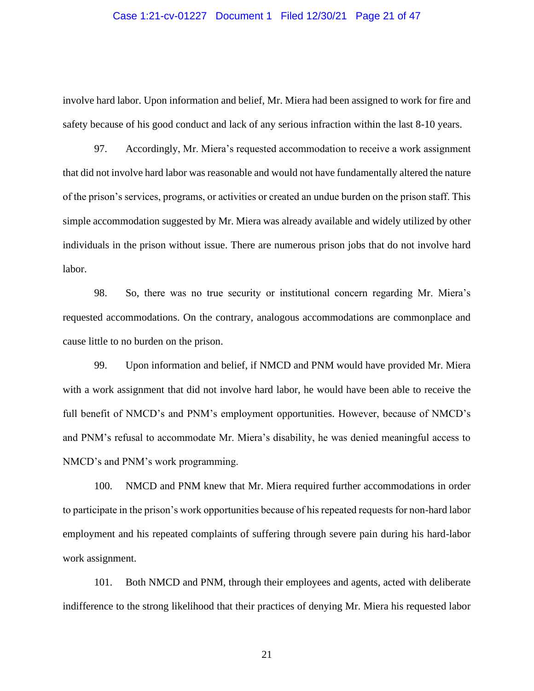#### Case 1:21-cv-01227 Document 1 Filed 12/30/21 Page 21 of 47

involve hard labor. Upon information and belief, Mr. Miera had been assigned to work for fire and safety because of his good conduct and lack of any serious infraction within the last 8-10 years.

97. Accordingly, Mr. Miera's requested accommodation to receive a work assignment that did not involve hard labor was reasonable and would not have fundamentally altered the nature of the prison's services, programs, or activities or created an undue burden on the prison staff. This simple accommodation suggested by Mr. Miera was already available and widely utilized by other individuals in the prison without issue. There are numerous prison jobs that do not involve hard labor.

98. So, there was no true security or institutional concern regarding Mr. Miera's requested accommodations. On the contrary, analogous accommodations are commonplace and cause little to no burden on the prison.

99. Upon information and belief, if NMCD and PNM would have provided Mr. Miera with a work assignment that did not involve hard labor, he would have been able to receive the full benefit of NMCD's and PNM's employment opportunities. However, because of NMCD's and PNM's refusal to accommodate Mr. Miera's disability, he was denied meaningful access to NMCD's and PNM's work programming.

100. NMCD and PNM knew that Mr. Miera required further accommodations in order to participate in the prison's work opportunities because of his repeated requests for non-hard labor employment and his repeated complaints of suffering through severe pain during his hard-labor work assignment.

101. Both NMCD and PNM, through their employees and agents, acted with deliberate indifference to the strong likelihood that their practices of denying Mr. Miera his requested labor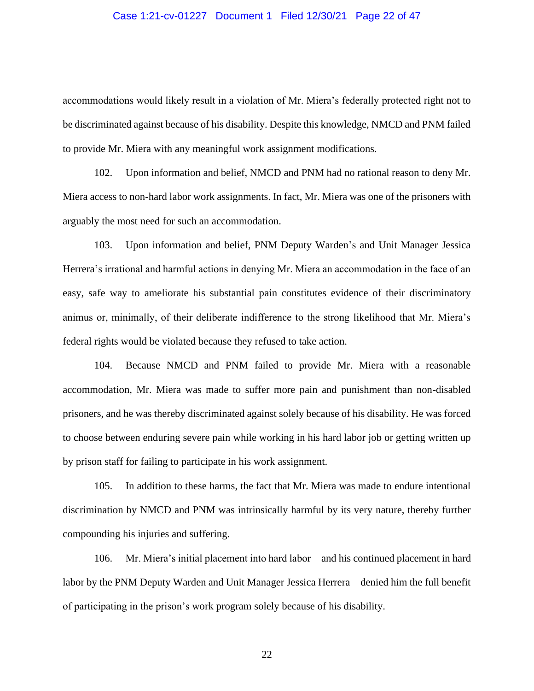#### Case 1:21-cv-01227 Document 1 Filed 12/30/21 Page 22 of 47

accommodations would likely result in a violation of Mr. Miera's federally protected right not to be discriminated against because of his disability. Despite this knowledge, NMCD and PNM failed to provide Mr. Miera with any meaningful work assignment modifications.

102. Upon information and belief, NMCD and PNM had no rational reason to deny Mr. Miera access to non-hard labor work assignments. In fact, Mr. Miera was one of the prisoners with arguably the most need for such an accommodation.

103. Upon information and belief, PNM Deputy Warden's and Unit Manager Jessica Herrera's irrational and harmful actions in denying Mr. Miera an accommodation in the face of an easy, safe way to ameliorate his substantial pain constitutes evidence of their discriminatory animus or, minimally, of their deliberate indifference to the strong likelihood that Mr. Miera's federal rights would be violated because they refused to take action.

104. Because NMCD and PNM failed to provide Mr. Miera with a reasonable accommodation, Mr. Miera was made to suffer more pain and punishment than non-disabled prisoners, and he was thereby discriminated against solely because of his disability. He was forced to choose between enduring severe pain while working in his hard labor job or getting written up by prison staff for failing to participate in his work assignment.

105. In addition to these harms, the fact that Mr. Miera was made to endure intentional discrimination by NMCD and PNM was intrinsically harmful by its very nature, thereby further compounding his injuries and suffering.

106. Mr. Miera's initial placement into hard labor—and his continued placement in hard labor by the PNM Deputy Warden and Unit Manager Jessica Herrera—denied him the full benefit of participating in the prison's work program solely because of his disability.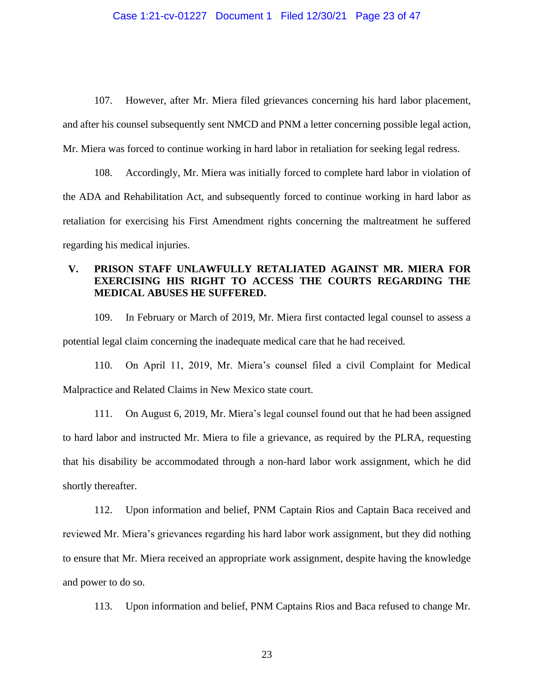#### Case 1:21-cv-01227 Document 1 Filed 12/30/21 Page 23 of 47

107. However, after Mr. Miera filed grievances concerning his hard labor placement, and after his counsel subsequently sent NMCD and PNM a letter concerning possible legal action, Mr. Miera was forced to continue working in hard labor in retaliation for seeking legal redress.

108. Accordingly, Mr. Miera was initially forced to complete hard labor in violation of the ADA and Rehabilitation Act, and subsequently forced to continue working in hard labor as retaliation for exercising his First Amendment rights concerning the maltreatment he suffered regarding his medical injuries.

## **V. PRISON STAFF UNLAWFULLY RETALIATED AGAINST MR. MIERA FOR EXERCISING HIS RIGHT TO ACCESS THE COURTS REGARDING THE MEDICAL ABUSES HE SUFFERED.**

109. In February or March of 2019, Mr. Miera first contacted legal counsel to assess a potential legal claim concerning the inadequate medical care that he had received.

110. On April 11, 2019, Mr. Miera's counsel filed a civil Complaint for Medical Malpractice and Related Claims in New Mexico state court.

111. On August 6, 2019, Mr. Miera's legal counsel found out that he had been assigned to hard labor and instructed Mr. Miera to file a grievance, as required by the PLRA, requesting that his disability be accommodated through a non-hard labor work assignment, which he did shortly thereafter.

112. Upon information and belief, PNM Captain Rios and Captain Baca received and reviewed Mr. Miera's grievances regarding his hard labor work assignment, but they did nothing to ensure that Mr. Miera received an appropriate work assignment, despite having the knowledge and power to do so.

113. Upon information and belief, PNM Captains Rios and Baca refused to change Mr.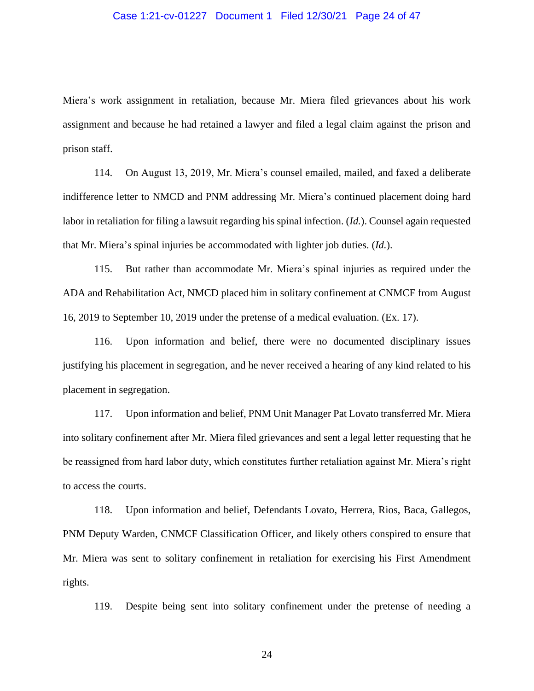#### Case 1:21-cv-01227 Document 1 Filed 12/30/21 Page 24 of 47

Miera's work assignment in retaliation, because Mr. Miera filed grievances about his work assignment and because he had retained a lawyer and filed a legal claim against the prison and prison staff.

114. On August 13, 2019, Mr. Miera's counsel emailed, mailed, and faxed a deliberate indifference letter to NMCD and PNM addressing Mr. Miera's continued placement doing hard labor in retaliation for filing a lawsuit regarding his spinal infection. (*Id.*). Counsel again requested that Mr. Miera's spinal injuries be accommodated with lighter job duties. (*Id.*).

115. But rather than accommodate Mr. Miera's spinal injuries as required under the ADA and Rehabilitation Act, NMCD placed him in solitary confinement at CNMCF from August 16, 2019 to September 10, 2019 under the pretense of a medical evaluation. (Ex. 17).

116. Upon information and belief, there were no documented disciplinary issues justifying his placement in segregation, and he never received a hearing of any kind related to his placement in segregation.

117. Upon information and belief, PNM Unit Manager Pat Lovato transferred Mr. Miera into solitary confinement after Mr. Miera filed grievances and sent a legal letter requesting that he be reassigned from hard labor duty, which constitutes further retaliation against Mr. Miera's right to access the courts.

118. Upon information and belief, Defendants Lovato, Herrera, Rios, Baca, Gallegos, PNM Deputy Warden, CNMCF Classification Officer, and likely others conspired to ensure that Mr. Miera was sent to solitary confinement in retaliation for exercising his First Amendment rights.

119. Despite being sent into solitary confinement under the pretense of needing a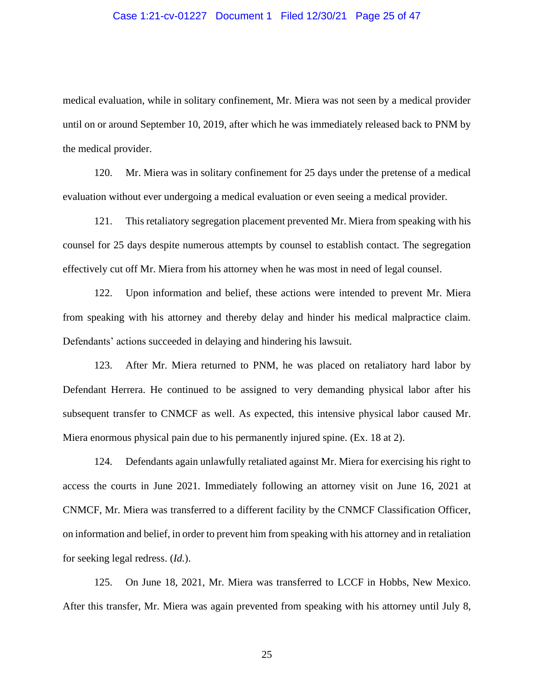#### Case 1:21-cv-01227 Document 1 Filed 12/30/21 Page 25 of 47

medical evaluation, while in solitary confinement, Mr. Miera was not seen by a medical provider until on or around September 10, 2019, after which he was immediately released back to PNM by the medical provider.

120. Mr. Miera was in solitary confinement for 25 days under the pretense of a medical evaluation without ever undergoing a medical evaluation or even seeing a medical provider.

121. This retaliatory segregation placement prevented Mr. Miera from speaking with his counsel for 25 days despite numerous attempts by counsel to establish contact. The segregation effectively cut off Mr. Miera from his attorney when he was most in need of legal counsel.

122. Upon information and belief, these actions were intended to prevent Mr. Miera from speaking with his attorney and thereby delay and hinder his medical malpractice claim. Defendants' actions succeeded in delaying and hindering his lawsuit.

123. After Mr. Miera returned to PNM, he was placed on retaliatory hard labor by Defendant Herrera. He continued to be assigned to very demanding physical labor after his subsequent transfer to CNMCF as well. As expected, this intensive physical labor caused Mr. Miera enormous physical pain due to his permanently injured spine. (Ex. 18 at 2).

124. Defendants again unlawfully retaliated against Mr. Miera for exercising his right to access the courts in June 2021. Immediately following an attorney visit on June 16, 2021 at CNMCF, Mr. Miera was transferred to a different facility by the CNMCF Classification Officer, on information and belief, in order to prevent him from speaking with his attorney and in retaliation for seeking legal redress. (*Id.*).

125. On June 18, 2021, Mr. Miera was transferred to LCCF in Hobbs, New Mexico. After this transfer, Mr. Miera was again prevented from speaking with his attorney until July 8,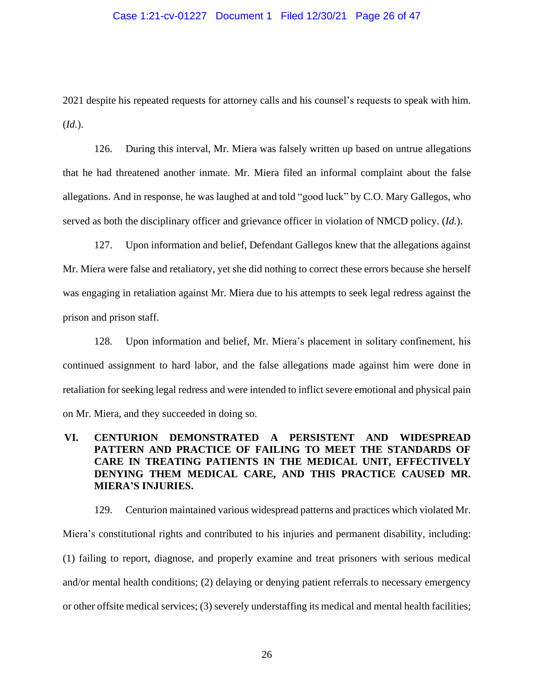#### Case 1:21-cv-01227 Document 1 Filed 12/30/21 Page 26 of 47

2021 despite his repeated requests for attorney calls and his counsel's requests to speak with him. (*Id.*).

126. During this interval, Mr. Miera was falsely written up based on untrue allegations that he had threatened another inmate. Mr. Miera filed an informal complaint about the false allegations. And in response, he was laughed at and told "good luck" by C.O. Mary Gallegos, who served as both the disciplinary officer and grievance officer in violation of NMCD policy. (*Id.*).

127. Upon information and belief, Defendant Gallegos knew that the allegations against Mr. Miera were false and retaliatory, yet she did nothing to correct these errors because she herself was engaging in retaliation against Mr. Miera due to his attempts to seek legal redress against the prison and prison staff.

128. Upon information and belief, Mr. Miera's placement in solitary confinement, his continued assignment to hard labor, and the false allegations made against him were done in retaliation for seeking legal redress and were intended to inflict severe emotional and physical pain on Mr. Miera, and they succeeded in doing so.

# **VI. CENTURION DEMONSTRATED A PERSISTENT AND WIDESPREAD PATTERN AND PRACTICE OF FAILING TO MEET THE STANDARDS OF CARE IN TREATING PATIENTS IN THE MEDICAL UNIT, EFFECTIVELY DENYING THEM MEDICAL CARE, AND THIS PRACTICE CAUSED MR. MIERA'S INJURIES.**

129. Centurion maintained various widespread patterns and practices which violated Mr. Miera's constitutional rights and contributed to his injuries and permanent disability, including: (1) failing to report, diagnose, and properly examine and treat prisoners with serious medical and/or mental health conditions; (2) delaying or denying patient referrals to necessary emergency or other offsite medical services; (3) severely understaffing its medical and mental health facilities;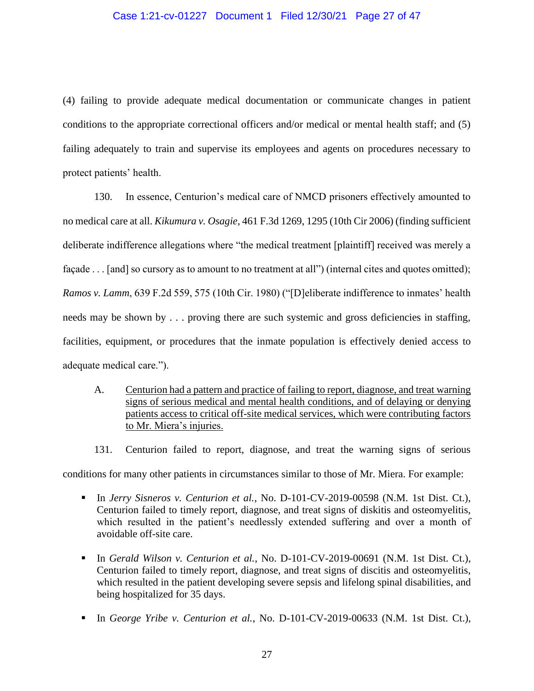### Case 1:21-cv-01227 Document 1 Filed 12/30/21 Page 27 of 47

(4) failing to provide adequate medical documentation or communicate changes in patient conditions to the appropriate correctional officers and/or medical or mental health staff; and (5) failing adequately to train and supervise its employees and agents on procedures necessary to protect patients' health.

130. In essence, Centurion's medical care of NMCD prisoners effectively amounted to no medical care at all. *Kikumura v. Osagie*, 461 F.3d 1269, 1295 (10th Cir 2006) (finding sufficient deliberate indifference allegations where "the medical treatment [plaintiff] received was merely a façade . . . [and] so cursory as to amount to no treatment at all") (internal cites and quotes omitted); *Ramos v. Lamm*, 639 F.2d 559, 575 (10th Cir. 1980) ("[D]eliberate indifference to inmates' health needs may be shown by . . . proving there are such systemic and gross deficiencies in staffing, facilities, equipment, or procedures that the inmate population is effectively denied access to adequate medical care.").

- A. Centurion had a pattern and practice of failing to report, diagnose, and treat warning signs of serious medical and mental health conditions, and of delaying or denying patients access to critical off-site medical services, which were contributing factors to Mr. Miera's injuries.
- 131. Centurion failed to report, diagnose, and treat the warning signs of serious

conditions for many other patients in circumstances similar to those of Mr. Miera. For example:

- In *Jerry Sisneros v. Centurion et al.*, No. D-101-CV-2019-00598 (N.M. 1st Dist. Ct.), Centurion failed to timely report, diagnose, and treat signs of diskitis and osteomyelitis, which resulted in the patient's needlessly extended suffering and over a month of avoidable off-site care.
- In *Gerald Wilson v. Centurion et al.*, No. D-101-CV-2019-00691 (N.M. 1st Dist. Ct.), Centurion failed to timely report, diagnose, and treat signs of discitis and osteomyelitis, which resulted in the patient developing severe sepsis and lifelong spinal disabilities, and being hospitalized for 35 days.
- In *George Yribe v. Centurion et al.*, No. D-101-CV-2019-00633 (N.M. 1st Dist. Ct.),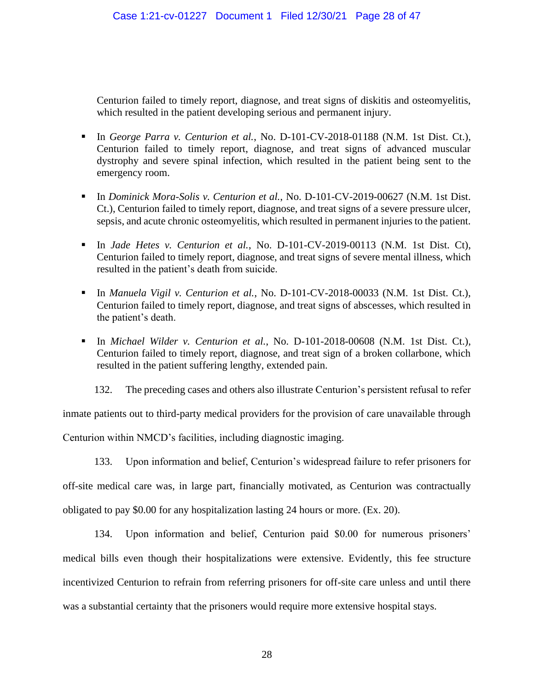Centurion failed to timely report, diagnose, and treat signs of diskitis and osteomyelitis, which resulted in the patient developing serious and permanent injury.

- In *George Parra v. Centurion et al.*, No. D-101-CV-2018-01188 (N.M. 1st Dist. Ct.), Centurion failed to timely report, diagnose, and treat signs of advanced muscular dystrophy and severe spinal infection, which resulted in the patient being sent to the emergency room.
- In *Dominick Mora-Solis v. Centurion et al.*, No. D-101-CV-2019-00627 (N.M. 1st Dist. Ct.), Centurion failed to timely report, diagnose, and treat signs of a severe pressure ulcer, sepsis, and acute chronic osteomyelitis, which resulted in permanent injuries to the patient.
- In *Jade Hetes v. Centurion et al.*, No. D-101-CV-2019-00113 (N.M. 1st Dist. Ct), Centurion failed to timely report, diagnose, and treat signs of severe mental illness, which resulted in the patient's death from suicide.
- In *Manuela Vigil v. Centurion et al.*, No. D-101-CV-2018-00033 (N.M. 1st Dist. Ct.), Centurion failed to timely report, diagnose, and treat signs of abscesses, which resulted in the patient's death.
- In *Michael Wilder v. Centurion et al.*, No. D-101-2018-00608 (N.M. 1st Dist. Ct.), Centurion failed to timely report, diagnose, and treat sign of a broken collarbone, which resulted in the patient suffering lengthy, extended pain.

132. The preceding cases and others also illustrate Centurion's persistent refusal to refer

inmate patients out to third-party medical providers for the provision of care unavailable through

Centurion within NMCD's facilities, including diagnostic imaging.

133. Upon information and belief, Centurion's widespread failure to refer prisoners for off-site medical care was, in large part, financially motivated, as Centurion was contractually obligated to pay \$0.00 for any hospitalization lasting 24 hours or more. (Ex. 20).

134. Upon information and belief, Centurion paid \$0.00 for numerous prisoners' medical bills even though their hospitalizations were extensive. Evidently, this fee structure incentivized Centurion to refrain from referring prisoners for off-site care unless and until there was a substantial certainty that the prisoners would require more extensive hospital stays.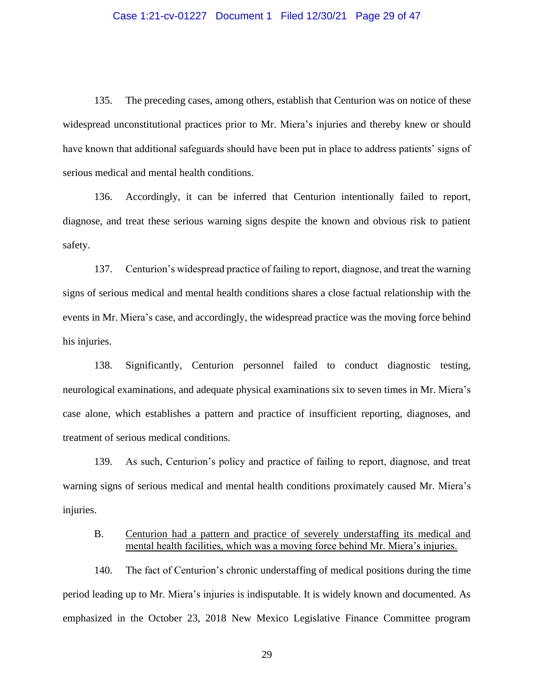#### Case 1:21-cv-01227 Document 1 Filed 12/30/21 Page 29 of 47

135. The preceding cases, among others, establish that Centurion was on notice of these widespread unconstitutional practices prior to Mr. Miera's injuries and thereby knew or should have known that additional safeguards should have been put in place to address patients' signs of serious medical and mental health conditions.

136. Accordingly, it can be inferred that Centurion intentionally failed to report, diagnose, and treat these serious warning signs despite the known and obvious risk to patient safety.

137. Centurion's widespread practice of failing to report, diagnose, and treat the warning signs of serious medical and mental health conditions shares a close factual relationship with the events in Mr. Miera's case, and accordingly, the widespread practice was the moving force behind his injuries.

138. Significantly, Centurion personnel failed to conduct diagnostic testing, neurological examinations, and adequate physical examinations six to seven times in Mr. Miera's case alone, which establishes a pattern and practice of insufficient reporting, diagnoses, and treatment of serious medical conditions.

139. As such, Centurion's policy and practice of failing to report, diagnose, and treat warning signs of serious medical and mental health conditions proximately caused Mr. Miera's injuries.

## B. Centurion had a pattern and practice of severely understaffing its medical and mental health facilities, which was a moving force behind Mr. Miera's injuries.

140. The fact of Centurion's chronic understaffing of medical positions during the time period leading up to Mr. Miera's injuries is indisputable. It is widely known and documented. As emphasized in the October 23, 2018 New Mexico Legislative Finance Committee program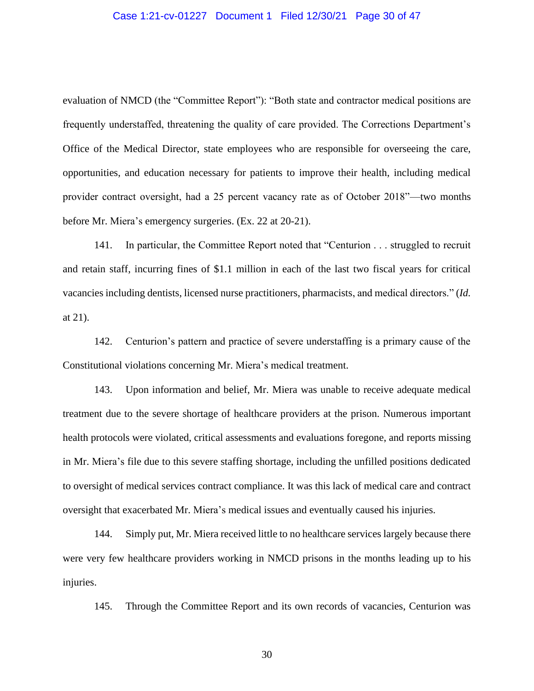#### Case 1:21-cv-01227 Document 1 Filed 12/30/21 Page 30 of 47

evaluation of NMCD (the "Committee Report"): "Both state and contractor medical positions are frequently understaffed, threatening the quality of care provided. The Corrections Department's Office of the Medical Director, state employees who are responsible for overseeing the care, opportunities, and education necessary for patients to improve their health, including medical provider contract oversight, had a 25 percent vacancy rate as of October 2018"—two months before Mr. Miera's emergency surgeries. (Ex. 22 at 20-21).

141. In particular, the Committee Report noted that "Centurion . . . struggled to recruit and retain staff, incurring fines of \$1.1 million in each of the last two fiscal years for critical vacancies including dentists, licensed nurse practitioners, pharmacists, and medical directors." (*Id.* at 21).

142. Centurion's pattern and practice of severe understaffing is a primary cause of the Constitutional violations concerning Mr. Miera's medical treatment.

143. Upon information and belief, Mr. Miera was unable to receive adequate medical treatment due to the severe shortage of healthcare providers at the prison. Numerous important health protocols were violated, critical assessments and evaluations foregone, and reports missing in Mr. Miera's file due to this severe staffing shortage, including the unfilled positions dedicated to oversight of medical services contract compliance. It was this lack of medical care and contract oversight that exacerbated Mr. Miera's medical issues and eventually caused his injuries.

144. Simply put, Mr. Miera received little to no healthcare services largely because there were very few healthcare providers working in NMCD prisons in the months leading up to his injuries.

145. Through the Committee Report and its own records of vacancies, Centurion was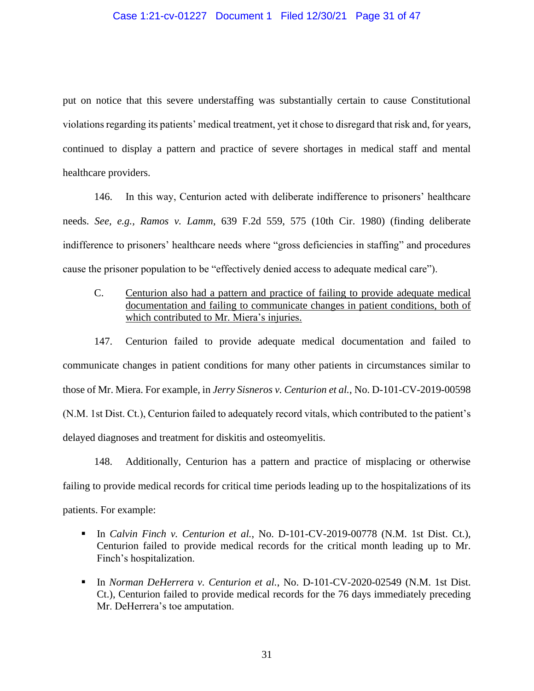#### Case 1:21-cv-01227 Document 1 Filed 12/30/21 Page 31 of 47

put on notice that this severe understaffing was substantially certain to cause Constitutional violations regarding its patients' medical treatment, yet it chose to disregard that risk and, for years, continued to display a pattern and practice of severe shortages in medical staff and mental healthcare providers.

146. In this way, Centurion acted with deliberate indifference to prisoners' healthcare needs. *See, e.g., Ramos v. Lamm*, 639 F.2d 559, 575 (10th Cir. 1980) (finding deliberate indifference to prisoners' healthcare needs where "gross deficiencies in staffing" and procedures cause the prisoner population to be "effectively denied access to adequate medical care").

C. Centurion also had a pattern and practice of failing to provide adequate medical documentation and failing to communicate changes in patient conditions, both of which contributed to Mr. Miera's injuries.

147. Centurion failed to provide adequate medical documentation and failed to communicate changes in patient conditions for many other patients in circumstances similar to those of Mr. Miera. For example, in *Jerry Sisneros v. Centurion et al.*, No. D-101-CV-2019-00598 (N.M. 1st Dist. Ct.), Centurion failed to adequately record vitals, which contributed to the patient's delayed diagnoses and treatment for diskitis and osteomyelitis.

148. Additionally, Centurion has a pattern and practice of misplacing or otherwise failing to provide medical records for critical time periods leading up to the hospitalizations of its patients. For example:

- In *Calvin Finch v. Centurion et al.*, No. D-101-CV-2019-00778 (N.M. 1st Dist. Ct.), Centurion failed to provide medical records for the critical month leading up to Mr. Finch's hospitalization.
- In *Norman DeHerrera v. Centurion et al.*, No. D-101-CV-2020-02549 (N.M. 1st Dist. Ct.), Centurion failed to provide medical records for the 76 days immediately preceding Mr. DeHerrera's toe amputation.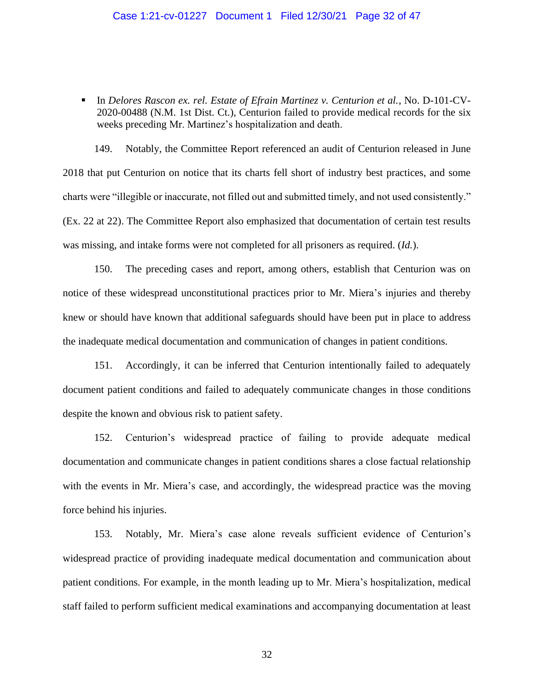#### Case 1:21-cv-01227 Document 1 Filed 12/30/21 Page 32 of 47

▪ In *Delores Rascon ex. rel. Estate of Efrain Martinez v. Centurion et al.*, No. D-101-CV-2020-00488 (N.M. 1st Dist. Ct.), Centurion failed to provide medical records for the six weeks preceding Mr. Martinez's hospitalization and death.

149. Notably, the Committee Report referenced an audit of Centurion released in June 2018 that put Centurion on notice that its charts fell short of industry best practices, and some charts were "illegible or inaccurate, not filled out and submitted timely, and not used consistently." (Ex. 22 at 22). The Committee Report also emphasized that documentation of certain test results was missing, and intake forms were not completed for all prisoners as required. (*Id.*).

150. The preceding cases and report, among others, establish that Centurion was on notice of these widespread unconstitutional practices prior to Mr. Miera's injuries and thereby knew or should have known that additional safeguards should have been put in place to address the inadequate medical documentation and communication of changes in patient conditions.

151. Accordingly, it can be inferred that Centurion intentionally failed to adequately document patient conditions and failed to adequately communicate changes in those conditions despite the known and obvious risk to patient safety.

152. Centurion's widespread practice of failing to provide adequate medical documentation and communicate changes in patient conditions shares a close factual relationship with the events in Mr. Miera's case, and accordingly, the widespread practice was the moving force behind his injuries.

153. Notably, Mr. Miera's case alone reveals sufficient evidence of Centurion's widespread practice of providing inadequate medical documentation and communication about patient conditions. For example, in the month leading up to Mr. Miera's hospitalization, medical staff failed to perform sufficient medical examinations and accompanying documentation at least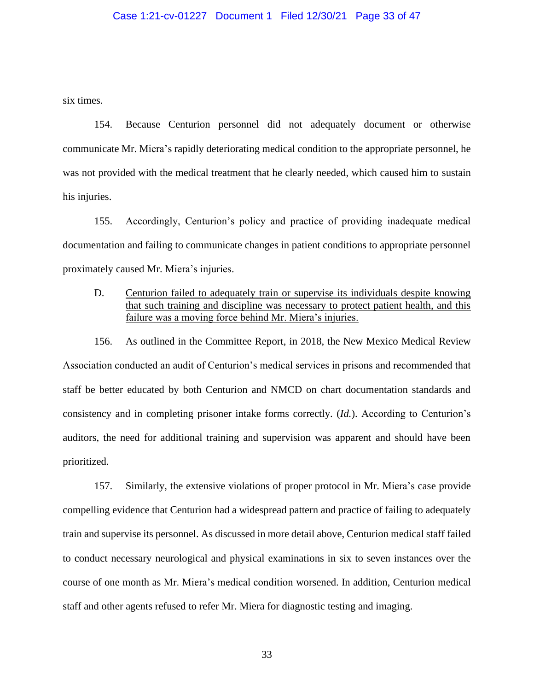#### Case 1:21-cv-01227 Document 1 Filed 12/30/21 Page 33 of 47

six times.

154. Because Centurion personnel did not adequately document or otherwise communicate Mr. Miera's rapidly deteriorating medical condition to the appropriate personnel, he was not provided with the medical treatment that he clearly needed, which caused him to sustain his injuries.

155. Accordingly, Centurion's policy and practice of providing inadequate medical documentation and failing to communicate changes in patient conditions to appropriate personnel proximately caused Mr. Miera's injuries.

D. Centurion failed to adequately train or supervise its individuals despite knowing that such training and discipline was necessary to protect patient health, and this failure was a moving force behind Mr. Miera's injuries.

156. As outlined in the Committee Report, in 2018, the New Mexico Medical Review Association conducted an audit of Centurion's medical services in prisons and recommended that staff be better educated by both Centurion and NMCD on chart documentation standards and consistency and in completing prisoner intake forms correctly. (*Id.*). According to Centurion's auditors, the need for additional training and supervision was apparent and should have been prioritized.

157. Similarly, the extensive violations of proper protocol in Mr. Miera's case provide compelling evidence that Centurion had a widespread pattern and practice of failing to adequately train and supervise its personnel. As discussed in more detail above, Centurion medical staff failed to conduct necessary neurological and physical examinations in six to seven instances over the course of one month as Mr. Miera's medical condition worsened. In addition, Centurion medical staff and other agents refused to refer Mr. Miera for diagnostic testing and imaging.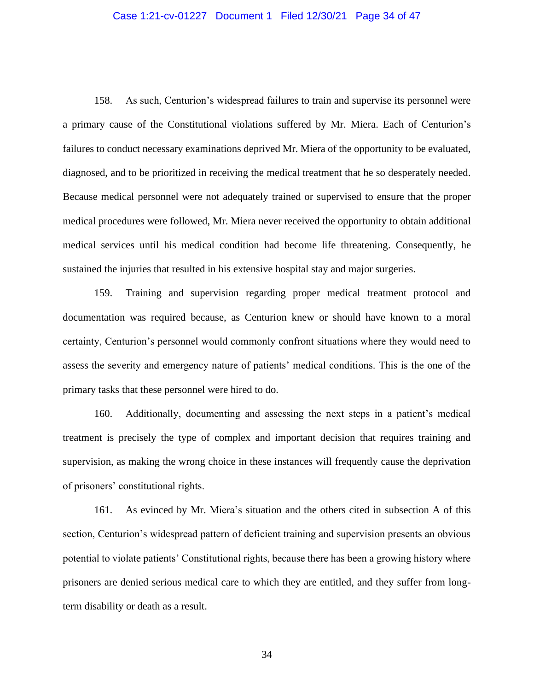#### Case 1:21-cv-01227 Document 1 Filed 12/30/21 Page 34 of 47

158. As such, Centurion's widespread failures to train and supervise its personnel were a primary cause of the Constitutional violations suffered by Mr. Miera. Each of Centurion's failures to conduct necessary examinations deprived Mr. Miera of the opportunity to be evaluated, diagnosed, and to be prioritized in receiving the medical treatment that he so desperately needed. Because medical personnel were not adequately trained or supervised to ensure that the proper medical procedures were followed, Mr. Miera never received the opportunity to obtain additional medical services until his medical condition had become life threatening. Consequently, he sustained the injuries that resulted in his extensive hospital stay and major surgeries.

159. Training and supervision regarding proper medical treatment protocol and documentation was required because, as Centurion knew or should have known to a moral certainty, Centurion's personnel would commonly confront situations where they would need to assess the severity and emergency nature of patients' medical conditions. This is the one of the primary tasks that these personnel were hired to do.

160. Additionally, documenting and assessing the next steps in a patient's medical treatment is precisely the type of complex and important decision that requires training and supervision, as making the wrong choice in these instances will frequently cause the deprivation of prisoners' constitutional rights.

161. As evinced by Mr. Miera's situation and the others cited in subsection A of this section, Centurion's widespread pattern of deficient training and supervision presents an obvious potential to violate patients' Constitutional rights, because there has been a growing history where prisoners are denied serious medical care to which they are entitled, and they suffer from longterm disability or death as a result.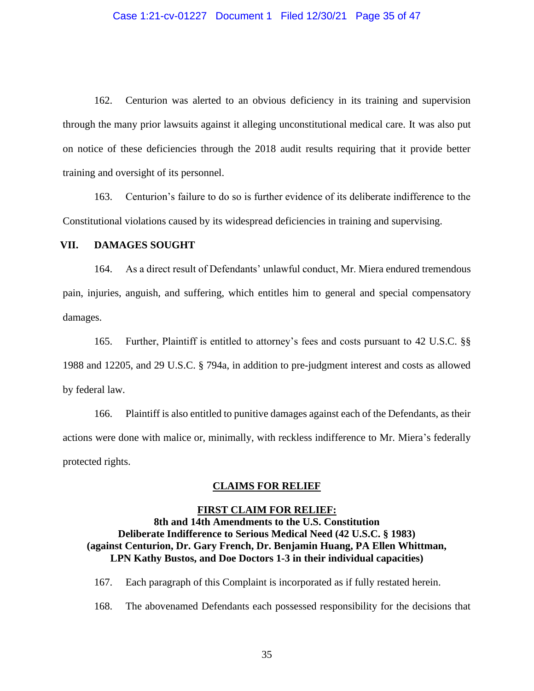#### Case 1:21-cv-01227 Document 1 Filed 12/30/21 Page 35 of 47

162. Centurion was alerted to an obvious deficiency in its training and supervision through the many prior lawsuits against it alleging unconstitutional medical care. It was also put on notice of these deficiencies through the 2018 audit results requiring that it provide better training and oversight of its personnel.

163. Centurion's failure to do so is further evidence of its deliberate indifference to the Constitutional violations caused by its widespread deficiencies in training and supervising.

### **VII. DAMAGES SOUGHT**

164. As a direct result of Defendants' unlawful conduct, Mr. Miera endured tremendous pain, injuries, anguish, and suffering, which entitles him to general and special compensatory damages.

165. Further, Plaintiff is entitled to attorney's fees and costs pursuant to 42 U.S.C. §§ 1988 and 12205, and 29 U.S.C. § 794a, in addition to pre-judgment interest and costs as allowed by federal law.

166. Plaintiff is also entitled to punitive damages against each of the Defendants, as their actions were done with malice or, minimally, with reckless indifference to Mr. Miera's federally protected rights.

### **CLAIMS FOR RELIEF**

### **FIRST CLAIM FOR RELIEF: 8th and 14th Amendments to the U.S. Constitution Deliberate Indifference to Serious Medical Need (42 U.S.C. § 1983) (against Centurion, Dr. Gary French, Dr. Benjamin Huang, PA Ellen Whittman, LPN Kathy Bustos, and Doe Doctors 1-3 in their individual capacities)**

167. Each paragraph of this Complaint is incorporated as if fully restated herein.

168. The abovenamed Defendants each possessed responsibility for the decisions that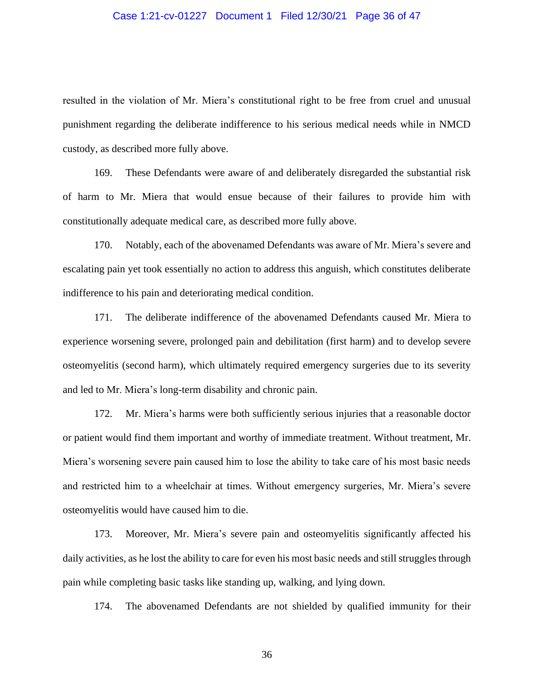#### Case 1:21-cv-01227 Document 1 Filed 12/30/21 Page 36 of 47

resulted in the violation of Mr. Miera's constitutional right to be free from cruel and unusual punishment regarding the deliberate indifference to his serious medical needs while in NMCD custody, as described more fully above.

169. These Defendants were aware of and deliberately disregarded the substantial risk of harm to Mr. Miera that would ensue because of their failures to provide him with constitutionally adequate medical care, as described more fully above.

170. Notably, each of the abovenamed Defendants was aware of Mr. Miera's severe and escalating pain yet took essentially no action to address this anguish, which constitutes deliberate indifference to his pain and deteriorating medical condition.

171. The deliberate indifference of the abovenamed Defendants caused Mr. Miera to experience worsening severe, prolonged pain and debilitation (first harm) and to develop severe osteomyelitis (second harm), which ultimately required emergency surgeries due to its severity and led to Mr. Miera's long-term disability and chronic pain.

172. Mr. Miera's harms were both sufficiently serious injuries that a reasonable doctor or patient would find them important and worthy of immediate treatment. Without treatment, Mr. Miera's worsening severe pain caused him to lose the ability to take care of his most basic needs and restricted him to a wheelchair at times. Without emergency surgeries, Mr. Miera's severe osteomyelitis would have caused him to die.

173. Moreover, Mr. Miera's severe pain and osteomyelitis significantly affected his daily activities, as he lost the ability to care for even his most basic needs and still struggles through pain while completing basic tasks like standing up, walking, and lying down.

174. The abovenamed Defendants are not shielded by qualified immunity for their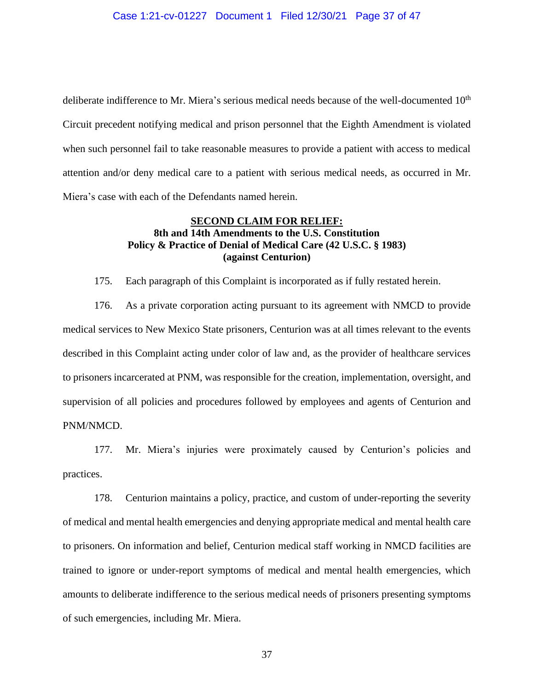deliberate indifference to Mr. Miera's serious medical needs because of the well-documented 10<sup>th</sup> Circuit precedent notifying medical and prison personnel that the Eighth Amendment is violated when such personnel fail to take reasonable measures to provide a patient with access to medical attention and/or deny medical care to a patient with serious medical needs, as occurred in Mr. Miera's case with each of the Defendants named herein.

## **SECOND CLAIM FOR RELIEF: 8th and 14th Amendments to the U.S. Constitution Policy & Practice of Denial of Medical Care (42 U.S.C. § 1983) (against Centurion)**

175. Each paragraph of this Complaint is incorporated as if fully restated herein.

176. As a private corporation acting pursuant to its agreement with NMCD to provide medical services to New Mexico State prisoners, Centurion was at all times relevant to the events described in this Complaint acting under color of law and, as the provider of healthcare services to prisoners incarcerated at PNM, was responsible for the creation, implementation, oversight, and supervision of all policies and procedures followed by employees and agents of Centurion and PNM/NMCD.

177. Mr. Miera's injuries were proximately caused by Centurion's policies and practices.

178. Centurion maintains a policy, practice, and custom of under-reporting the severity of medical and mental health emergencies and denying appropriate medical and mental health care to prisoners. On information and belief, Centurion medical staff working in NMCD facilities are trained to ignore or under-report symptoms of medical and mental health emergencies, which amounts to deliberate indifference to the serious medical needs of prisoners presenting symptoms of such emergencies, including Mr. Miera.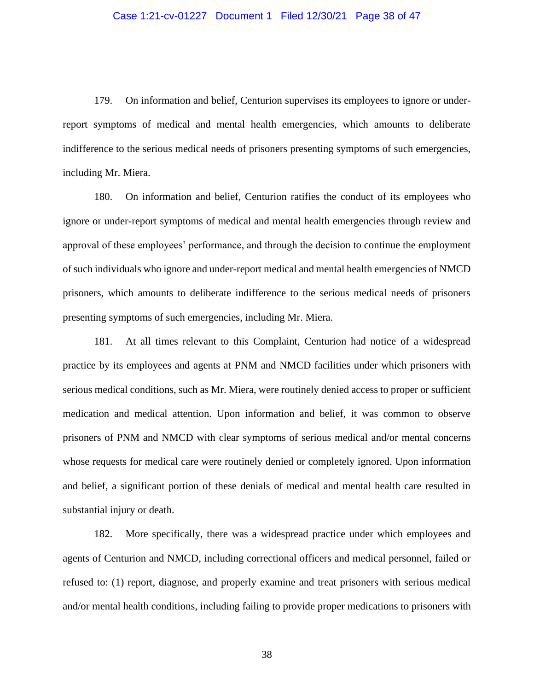179. On information and belief, Centurion supervises its employees to ignore or underreport symptoms of medical and mental health emergencies, which amounts to deliberate indifference to the serious medical needs of prisoners presenting symptoms of such emergencies, including Mr. Miera.

180. On information and belief, Centurion ratifies the conduct of its employees who ignore or under-report symptoms of medical and mental health emergencies through review and approval of these employees' performance, and through the decision to continue the employment of such individuals who ignore and under-report medical and mental health emergencies of NMCD prisoners, which amounts to deliberate indifference to the serious medical needs of prisoners presenting symptoms of such emergencies, including Mr. Miera.

181. At all times relevant to this Complaint, Centurion had notice of a widespread practice by its employees and agents at PNM and NMCD facilities under which prisoners with serious medical conditions, such as Mr. Miera, were routinely denied access to proper or sufficient medication and medical attention. Upon information and belief, it was common to observe prisoners of PNM and NMCD with clear symptoms of serious medical and/or mental concerns whose requests for medical care were routinely denied or completely ignored. Upon information and belief, a significant portion of these denials of medical and mental health care resulted in substantial injury or death.

182. More specifically, there was a widespread practice under which employees and agents of Centurion and NMCD, including correctional officers and medical personnel, failed or refused to: (1) report, diagnose, and properly examine and treat prisoners with serious medical and/or mental health conditions, including failing to provide proper medications to prisoners with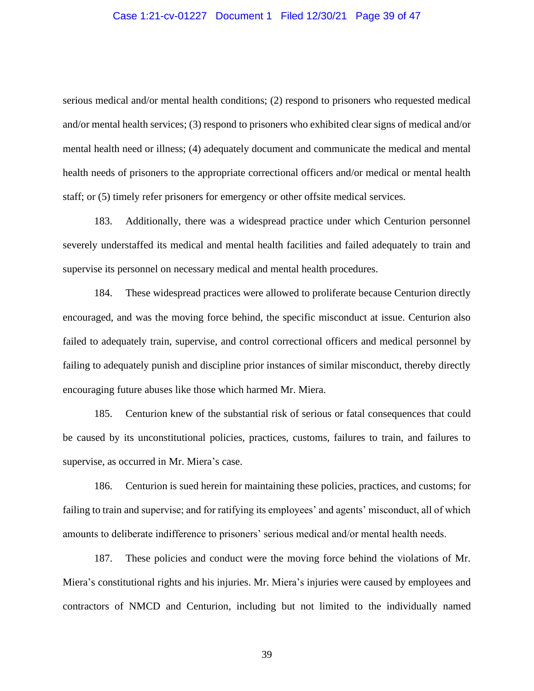#### Case 1:21-cv-01227 Document 1 Filed 12/30/21 Page 39 of 47

serious medical and/or mental health conditions; (2) respond to prisoners who requested medical and/or mental health services; (3) respond to prisoners who exhibited clear signs of medical and/or mental health need or illness; (4) adequately document and communicate the medical and mental health needs of prisoners to the appropriate correctional officers and/or medical or mental health staff; or (5) timely refer prisoners for emergency or other offsite medical services.

183. Additionally, there was a widespread practice under which Centurion personnel severely understaffed its medical and mental health facilities and failed adequately to train and supervise its personnel on necessary medical and mental health procedures.

184. These widespread practices were allowed to proliferate because Centurion directly encouraged, and was the moving force behind, the specific misconduct at issue. Centurion also failed to adequately train, supervise, and control correctional officers and medical personnel by failing to adequately punish and discipline prior instances of similar misconduct, thereby directly encouraging future abuses like those which harmed Mr. Miera.

185. Centurion knew of the substantial risk of serious or fatal consequences that could be caused by its unconstitutional policies, practices, customs, failures to train, and failures to supervise, as occurred in Mr. Miera's case.

186. Centurion is sued herein for maintaining these policies, practices, and customs; for failing to train and supervise; and for ratifying its employees' and agents' misconduct, all of which amounts to deliberate indifference to prisoners' serious medical and/or mental health needs.

187. These policies and conduct were the moving force behind the violations of Mr. Miera's constitutional rights and his injuries. Mr. Miera's injuries were caused by employees and contractors of NMCD and Centurion, including but not limited to the individually named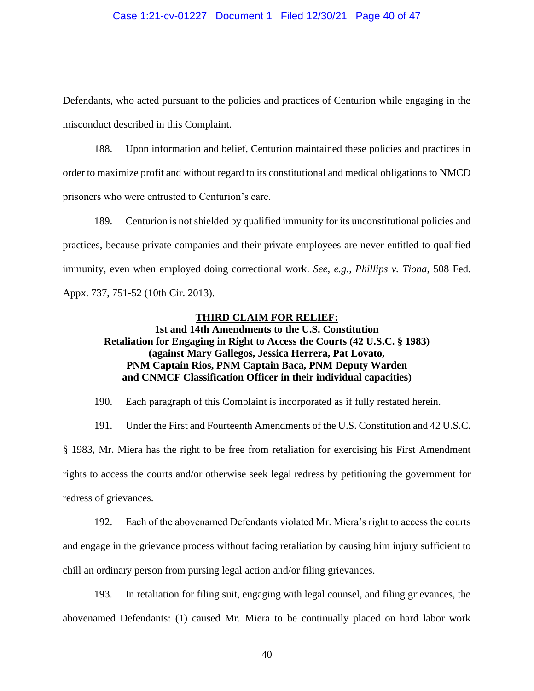#### Case 1:21-cv-01227 Document 1 Filed 12/30/21 Page 40 of 47

Defendants, who acted pursuant to the policies and practices of Centurion while engaging in the misconduct described in this Complaint.

188. Upon information and belief, Centurion maintained these policies and practices in order to maximize profit and without regard to its constitutional and medical obligations to NMCD prisoners who were entrusted to Centurion's care.

189. Centurion is not shielded by qualified immunity for its unconstitutional policies and practices, because private companies and their private employees are never entitled to qualified immunity, even when employed doing correctional work. *See, e.g., Phillips v. Tiona*, 508 Fed. Appx. 737, 751-52 (10th Cir. 2013).

#### **THIRD CLAIM FOR RELIEF:**

# **1st and 14th Amendments to the U.S. Constitution Retaliation for Engaging in Right to Access the Courts (42 U.S.C. § 1983) (against Mary Gallegos, Jessica Herrera, Pat Lovato, PNM Captain Rios, PNM Captain Baca, PNM Deputy Warden and CNMCF Classification Officer in their individual capacities)**

190. Each paragraph of this Complaint is incorporated as if fully restated herein.

191. Under the First and Fourteenth Amendments of the U.S. Constitution and 42 U.S.C.

§ 1983, Mr. Miera has the right to be free from retaliation for exercising his First Amendment rights to access the courts and/or otherwise seek legal redress by petitioning the government for redress of grievances.

192. Each of the abovenamed Defendants violated Mr. Miera's right to access the courts and engage in the grievance process without facing retaliation by causing him injury sufficient to chill an ordinary person from pursing legal action and/or filing grievances.

193. In retaliation for filing suit, engaging with legal counsel, and filing grievances, the abovenamed Defendants: (1) caused Mr. Miera to be continually placed on hard labor work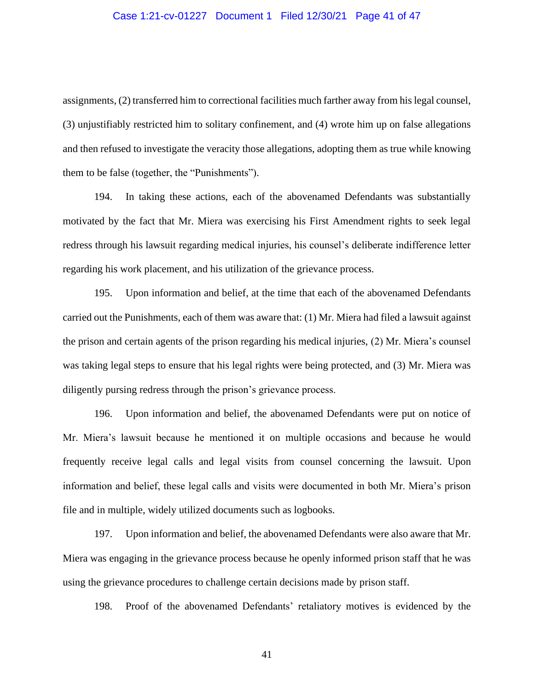#### Case 1:21-cv-01227 Document 1 Filed 12/30/21 Page 41 of 47

assignments, (2) transferred him to correctional facilities much farther away from his legal counsel, (3) unjustifiably restricted him to solitary confinement, and (4) wrote him up on false allegations and then refused to investigate the veracity those allegations, adopting them as true while knowing them to be false (together, the "Punishments").

194. In taking these actions, each of the abovenamed Defendants was substantially motivated by the fact that Mr. Miera was exercising his First Amendment rights to seek legal redress through his lawsuit regarding medical injuries, his counsel's deliberate indifference letter regarding his work placement, and his utilization of the grievance process.

195. Upon information and belief, at the time that each of the abovenamed Defendants carried out the Punishments, each of them was aware that: (1) Mr. Miera had filed a lawsuit against the prison and certain agents of the prison regarding his medical injuries, (2) Mr. Miera's counsel was taking legal steps to ensure that his legal rights were being protected, and (3) Mr. Miera was diligently pursing redress through the prison's grievance process.

196. Upon information and belief, the abovenamed Defendants were put on notice of Mr. Miera's lawsuit because he mentioned it on multiple occasions and because he would frequently receive legal calls and legal visits from counsel concerning the lawsuit. Upon information and belief, these legal calls and visits were documented in both Mr. Miera's prison file and in multiple, widely utilized documents such as logbooks.

197. Upon information and belief, the abovenamed Defendants were also aware that Mr. Miera was engaging in the grievance process because he openly informed prison staff that he was using the grievance procedures to challenge certain decisions made by prison staff.

198. Proof of the abovenamed Defendants' retaliatory motives is evidenced by the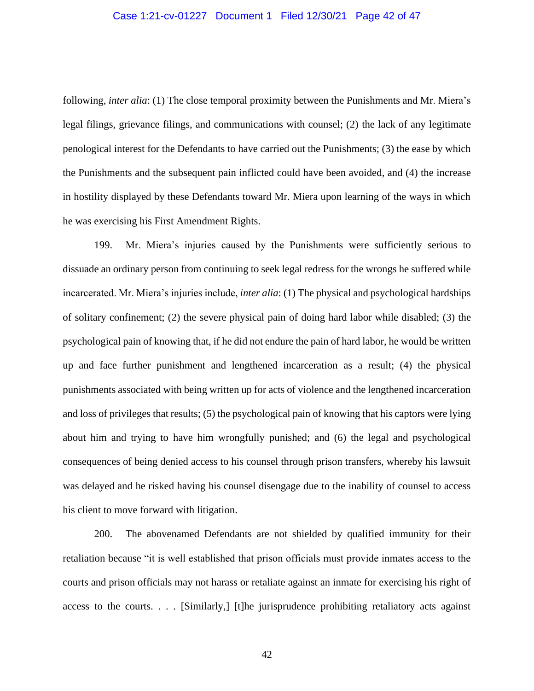#### Case 1:21-cv-01227 Document 1 Filed 12/30/21 Page 42 of 47

following, *inter alia*: (1) The close temporal proximity between the Punishments and Mr. Miera's legal filings, grievance filings, and communications with counsel; (2) the lack of any legitimate penological interest for the Defendants to have carried out the Punishments; (3) the ease by which the Punishments and the subsequent pain inflicted could have been avoided, and (4) the increase in hostility displayed by these Defendants toward Mr. Miera upon learning of the ways in which he was exercising his First Amendment Rights.

199. Mr. Miera's injuries caused by the Punishments were sufficiently serious to dissuade an ordinary person from continuing to seek legal redress for the wrongs he suffered while incarcerated. Mr. Miera's injuries include, *inter alia*: (1) The physical and psychological hardships of solitary confinement; (2) the severe physical pain of doing hard labor while disabled; (3) the psychological pain of knowing that, if he did not endure the pain of hard labor, he would be written up and face further punishment and lengthened incarceration as a result; (4) the physical punishments associated with being written up for acts of violence and the lengthened incarceration and loss of privileges that results; (5) the psychological pain of knowing that his captors were lying about him and trying to have him wrongfully punished; and (6) the legal and psychological consequences of being denied access to his counsel through prison transfers, whereby his lawsuit was delayed and he risked having his counsel disengage due to the inability of counsel to access his client to move forward with litigation.

200. The abovenamed Defendants are not shielded by qualified immunity for their retaliation because "it is well established that prison officials must provide inmates access to the courts and prison officials may not harass or retaliate against an inmate for exercising his right of access to the courts. . . . [Similarly,] [t]he jurisprudence prohibiting retaliatory acts against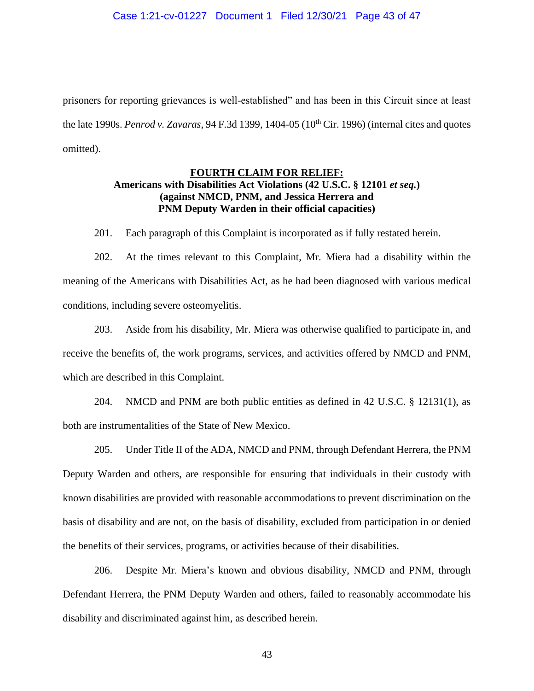prisoners for reporting grievances is well-established" and has been in this Circuit since at least the late 1990s. *Penrod v. Zavaras*, 94 F.3d 1399, 1404-05 (10<sup>th</sup> Cir. 1996) (internal cites and quotes omitted).

## **FOURTH CLAIM FOR RELIEF: Americans with Disabilities Act Violations (42 U.S.C. § 12101** *et seq.***) (against NMCD, PNM, and Jessica Herrera and PNM Deputy Warden in their official capacities)**

201. Each paragraph of this Complaint is incorporated as if fully restated herein.

202. At the times relevant to this Complaint, Mr. Miera had a disability within the meaning of the Americans with Disabilities Act, as he had been diagnosed with various medical conditions, including severe osteomyelitis.

203. Aside from his disability, Mr. Miera was otherwise qualified to participate in, and receive the benefits of, the work programs, services, and activities offered by NMCD and PNM, which are described in this Complaint.

204. NMCD and PNM are both public entities as defined in 42 U.S.C. § 12131(1), as both are instrumentalities of the State of New Mexico.

205. Under Title II of the ADA, NMCD and PNM, through Defendant Herrera, the PNM Deputy Warden and others, are responsible for ensuring that individuals in their custody with known disabilities are provided with reasonable accommodations to prevent discrimination on the basis of disability and are not, on the basis of disability, excluded from participation in or denied the benefits of their services, programs, or activities because of their disabilities.

206. Despite Mr. Miera's known and obvious disability, NMCD and PNM, through Defendant Herrera, the PNM Deputy Warden and others, failed to reasonably accommodate his disability and discriminated against him, as described herein.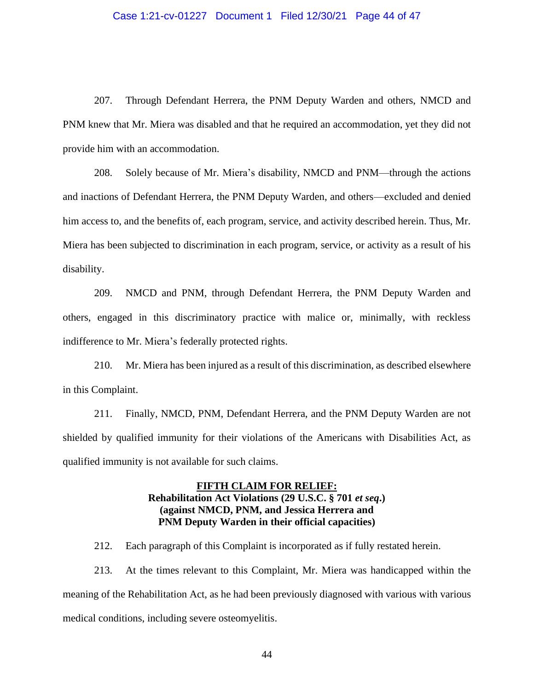#### Case 1:21-cv-01227 Document 1 Filed 12/30/21 Page 44 of 47

207. Through Defendant Herrera, the PNM Deputy Warden and others, NMCD and PNM knew that Mr. Miera was disabled and that he required an accommodation, yet they did not provide him with an accommodation.

208. Solely because of Mr. Miera's disability, NMCD and PNM—through the actions and inactions of Defendant Herrera, the PNM Deputy Warden, and others—excluded and denied him access to, and the benefits of, each program, service, and activity described herein. Thus, Mr. Miera has been subjected to discrimination in each program, service, or activity as a result of his disability.

209. NMCD and PNM, through Defendant Herrera, the PNM Deputy Warden and others, engaged in this discriminatory practice with malice or, minimally, with reckless indifference to Mr. Miera's federally protected rights.

210. Mr. Miera has been injured as a result of this discrimination, as described elsewhere in this Complaint.

211. Finally, NMCD, PNM, Defendant Herrera, and the PNM Deputy Warden are not shielded by qualified immunity for their violations of the Americans with Disabilities Act, as qualified immunity is not available for such claims.

## **FIFTH CLAIM FOR RELIEF: Rehabilitation Act Violations (29 U.S.C. § 701** *et seq***.) (against NMCD, PNM, and Jessica Herrera and PNM Deputy Warden in their official capacities)**

212. Each paragraph of this Complaint is incorporated as if fully restated herein.

213. At the times relevant to this Complaint, Mr. Miera was handicapped within the meaning of the Rehabilitation Act, as he had been previously diagnosed with various with various medical conditions, including severe osteomyelitis.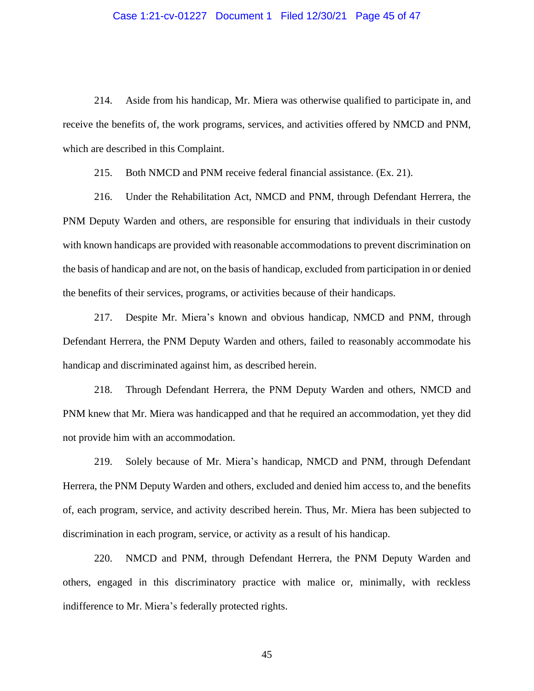#### Case 1:21-cv-01227 Document 1 Filed 12/30/21 Page 45 of 47

214. Aside from his handicap, Mr. Miera was otherwise qualified to participate in, and receive the benefits of, the work programs, services, and activities offered by NMCD and PNM, which are described in this Complaint.

215. Both NMCD and PNM receive federal financial assistance. (Ex. 21).

216. Under the Rehabilitation Act, NMCD and PNM, through Defendant Herrera, the PNM Deputy Warden and others, are responsible for ensuring that individuals in their custody with known handicaps are provided with reasonable accommodations to prevent discrimination on the basis of handicap and are not, on the basis of handicap, excluded from participation in or denied the benefits of their services, programs, or activities because of their handicaps.

217. Despite Mr. Miera's known and obvious handicap, NMCD and PNM, through Defendant Herrera, the PNM Deputy Warden and others, failed to reasonably accommodate his handicap and discriminated against him, as described herein.

218. Through Defendant Herrera, the PNM Deputy Warden and others, NMCD and PNM knew that Mr. Miera was handicapped and that he required an accommodation, yet they did not provide him with an accommodation.

219. Solely because of Mr. Miera's handicap, NMCD and PNM, through Defendant Herrera, the PNM Deputy Warden and others, excluded and denied him access to, and the benefits of, each program, service, and activity described herein. Thus, Mr. Miera has been subjected to discrimination in each program, service, or activity as a result of his handicap.

220. NMCD and PNM, through Defendant Herrera, the PNM Deputy Warden and others, engaged in this discriminatory practice with malice or, minimally, with reckless indifference to Mr. Miera's federally protected rights.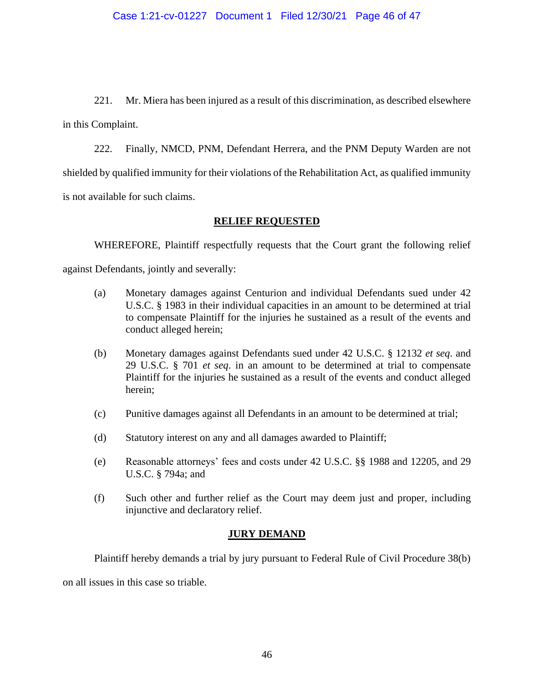221. Mr. Miera has been injured as a result of this discrimination, as described elsewhere in this Complaint.

222. Finally, NMCD, PNM, Defendant Herrera, and the PNM Deputy Warden are not shielded by qualified immunity for their violations of the Rehabilitation Act, as qualified immunity is not available for such claims.

## **RELIEF REQUESTED**

WHEREFORE, Plaintiff respectfully requests that the Court grant the following relief against Defendants, jointly and severally:

- (a) Monetary damages against Centurion and individual Defendants sued under 42 U.S.C. § 1983 in their individual capacities in an amount to be determined at trial to compensate Plaintiff for the injuries he sustained as a result of the events and conduct alleged herein;
- (b) Monetary damages against Defendants sued under 42 U.S.C. § 12132 *et seq*. and 29 U.S.C. § 701 *et seq*. in an amount to be determined at trial to compensate Plaintiff for the injuries he sustained as a result of the events and conduct alleged herein;
- (c) Punitive damages against all Defendants in an amount to be determined at trial;
- (d) Statutory interest on any and all damages awarded to Plaintiff;
- (e) Reasonable attorneys' fees and costs under 42 U.S.C. §§ 1988 and 12205, and 29 U.S.C. § 794a; and
- (f) Such other and further relief as the Court may deem just and proper, including injunctive and declaratory relief.

# **JURY DEMAND**

Plaintiff hereby demands a trial by jury pursuant to Federal Rule of Civil Procedure 38(b) on all issues in this case so triable.